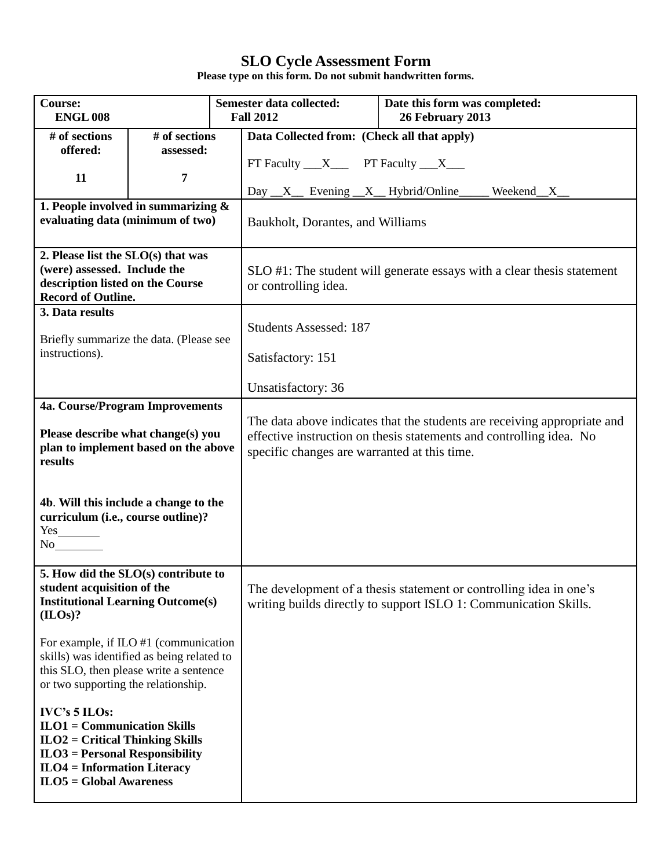| Course:<br><b>ENGL 008</b>                                                                                                                                                                   |                                                                            | <b>Semester data collected:</b><br>Date this form was completed:<br>26 February 2013<br><b>Fall 2012</b>                                                                                        |  |  |  |
|----------------------------------------------------------------------------------------------------------------------------------------------------------------------------------------------|----------------------------------------------------------------------------|-------------------------------------------------------------------------------------------------------------------------------------------------------------------------------------------------|--|--|--|
| # of sections                                                                                                                                                                                | # of sections                                                              | Data Collected from: (Check all that apply)                                                                                                                                                     |  |  |  |
| offered:                                                                                                                                                                                     | assessed:                                                                  | FT Faculty $X$ PT Faculty $X$                                                                                                                                                                   |  |  |  |
| 11                                                                                                                                                                                           | 7                                                                          |                                                                                                                                                                                                 |  |  |  |
|                                                                                                                                                                                              |                                                                            | Day $\_X$ Evening $\_X$ Hybrid/Online<br>Weekend <sub>_X_</sub>                                                                                                                                 |  |  |  |
|                                                                                                                                                                                              | 1. People involved in summarizing $\&$<br>evaluating data (minimum of two) |                                                                                                                                                                                                 |  |  |  |
|                                                                                                                                                                                              |                                                                            | Baukholt, Dorantes, and Williams                                                                                                                                                                |  |  |  |
| 2. Please list the SLO(s) that was                                                                                                                                                           |                                                                            |                                                                                                                                                                                                 |  |  |  |
| (were) assessed. Include the<br>description listed on the Course                                                                                                                             |                                                                            | SLO #1: The student will generate essays with a clear thesis statement<br>or controlling idea.                                                                                                  |  |  |  |
| <b>Record of Outline.</b>                                                                                                                                                                    |                                                                            |                                                                                                                                                                                                 |  |  |  |
| 3. Data results                                                                                                                                                                              |                                                                            | <b>Students Assessed: 187</b>                                                                                                                                                                   |  |  |  |
|                                                                                                                                                                                              | Briefly summarize the data. (Please see                                    |                                                                                                                                                                                                 |  |  |  |
| instructions).                                                                                                                                                                               |                                                                            | Satisfactory: 151                                                                                                                                                                               |  |  |  |
|                                                                                                                                                                                              |                                                                            | Unsatisfactory: 36                                                                                                                                                                              |  |  |  |
|                                                                                                                                                                                              | 4a. Course/Program Improvements                                            |                                                                                                                                                                                                 |  |  |  |
| Please describe what change(s) you<br>plan to implement based on the above<br>results                                                                                                        |                                                                            | The data above indicates that the students are receiving appropriate and<br>effective instruction on thesis statements and controlling idea. No<br>specific changes are warranted at this time. |  |  |  |
| 4b. Will this include a change to the<br>curriculum (i.e., course outline)?<br>No                                                                                                            |                                                                            |                                                                                                                                                                                                 |  |  |  |
| 5. How did the SLO(s) contribute to<br>student acquisition of the<br><b>Institutional Learning Outcome(s)</b><br>(ILOs)?                                                                     |                                                                            | The development of a thesis statement or controlling idea in one's<br>writing builds directly to support ISLO 1: Communication Skills.                                                          |  |  |  |
| For example, if ILO #1 (communication<br>skills) was identified as being related to<br>this SLO, then please write a sentence<br>or two supporting the relationship.                         |                                                                            |                                                                                                                                                                                                 |  |  |  |
| <b>IVC's 5 ILOs:</b><br>$ILO1 = Communication Skills$<br>$ILO2 = Critical Thinking Skills$<br>$ILO3 = Personal Responsibility$<br>$ILO4 = Information Literary$<br>$ILO5 = Global Awareness$ |                                                                            |                                                                                                                                                                                                 |  |  |  |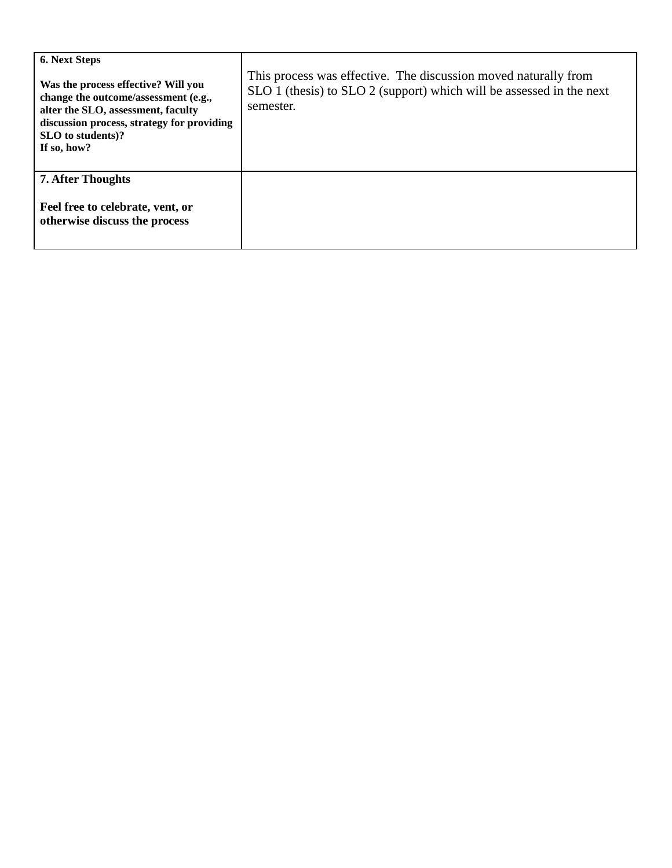| <b>6. Next Steps</b><br>Was the process effective? Will you<br>change the outcome/assessment (e.g.,<br>alter the SLO, assessment, faculty<br>discussion process, strategy for providing<br>SLO to students)?<br>If so, how? | This process was effective. The discussion moved naturally from<br>SLO 1 (thesis) to SLO 2 (support) which will be assessed in the next<br>semester. |
|-----------------------------------------------------------------------------------------------------------------------------------------------------------------------------------------------------------------------------|------------------------------------------------------------------------------------------------------------------------------------------------------|
| <b>7. After Thoughts</b><br>Feel free to celebrate, vent, or<br>otherwise discuss the process                                                                                                                               |                                                                                                                                                      |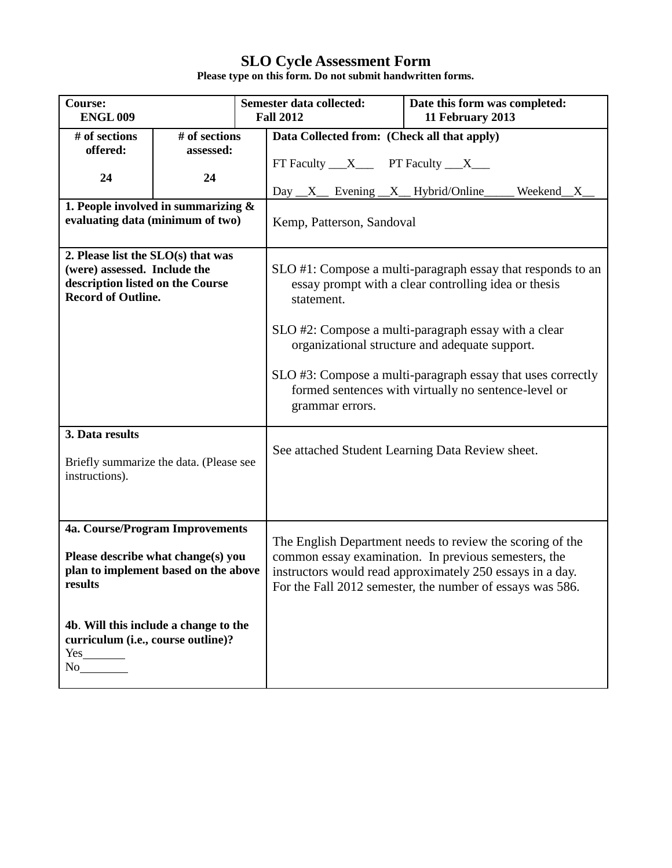| <b>Course:</b><br><b>ENGL009</b>        |               |                 | Semester data collected:<br><b>Fall 2012</b>                | Date this form was completed:<br>11 February 2013           |  |
|-----------------------------------------|---------------|-----------------|-------------------------------------------------------------|-------------------------------------------------------------|--|
| # of sections                           | # of sections |                 | Data Collected from: (Check all that apply)                 |                                                             |  |
| offered:                                | assessed:     |                 |                                                             |                                                             |  |
|                                         |               |                 | FT Faculty $\_\_X\_\_$ PT Faculty $\_\_X\_\_$               |                                                             |  |
| 24                                      | 24            |                 |                                                             |                                                             |  |
|                                         |               |                 | Day _X_ Evening _X_ Hybrid/Online                           | Weekend <sub>_X_</sub>                                      |  |
| 1. People involved in summarizing $\&$  |               |                 |                                                             |                                                             |  |
| evaluating data (minimum of two)        |               |                 | Kemp, Patterson, Sandoval                                   |                                                             |  |
|                                         |               |                 |                                                             |                                                             |  |
| 2. Please list the SLO(s) that was      |               |                 |                                                             |                                                             |  |
| (were) assessed. Include the            |               |                 |                                                             | SLO #1: Compose a multi-paragraph essay that responds to an |  |
| description listed on the Course        |               |                 |                                                             | essay prompt with a clear controlling idea or thesis        |  |
| <b>Record of Outline.</b>               |               |                 | statement.                                                  |                                                             |  |
|                                         |               |                 |                                                             |                                                             |  |
|                                         |               |                 |                                                             | SLO #2: Compose a multi-paragraph essay with a clear        |  |
|                                         |               |                 |                                                             | organizational structure and adequate support.              |  |
|                                         |               |                 |                                                             |                                                             |  |
|                                         |               |                 | SLO #3: Compose a multi-paragraph essay that uses correctly |                                                             |  |
|                                         |               |                 | formed sentences with virtually no sentence-level or        |                                                             |  |
|                                         |               |                 |                                                             |                                                             |  |
|                                         |               | grammar errors. |                                                             |                                                             |  |
| 3. Data results                         |               |                 |                                                             |                                                             |  |
|                                         |               |                 |                                                             |                                                             |  |
| Briefly summarize the data. (Please see |               |                 |                                                             | See attached Student Learning Data Review sheet.            |  |
| instructions).                          |               |                 |                                                             |                                                             |  |
|                                         |               |                 |                                                             |                                                             |  |
|                                         |               |                 |                                                             |                                                             |  |
|                                         |               |                 |                                                             |                                                             |  |
| 4a. Course/Program Improvements         |               |                 |                                                             |                                                             |  |
|                                         |               |                 |                                                             | The English Department needs to review the scoring of the   |  |
| Please describe what change(s) you      |               |                 |                                                             | common essay examination. In previous semesters, the        |  |
| plan to implement based on the above    |               |                 |                                                             | instructors would read approximately 250 essays in a day.   |  |
| results                                 |               |                 |                                                             | For the Fall 2012 semester, the number of essays was 586.   |  |
|                                         |               |                 |                                                             |                                                             |  |
|                                         |               |                 |                                                             |                                                             |  |
| 4b. Will this include a change to the   |               |                 |                                                             |                                                             |  |
| curriculum (i.e., course outline)?      |               |                 |                                                             |                                                             |  |
| $Yes$ <sub>_____________</sub><br>No    |               |                 |                                                             |                                                             |  |
|                                         |               |                 |                                                             |                                                             |  |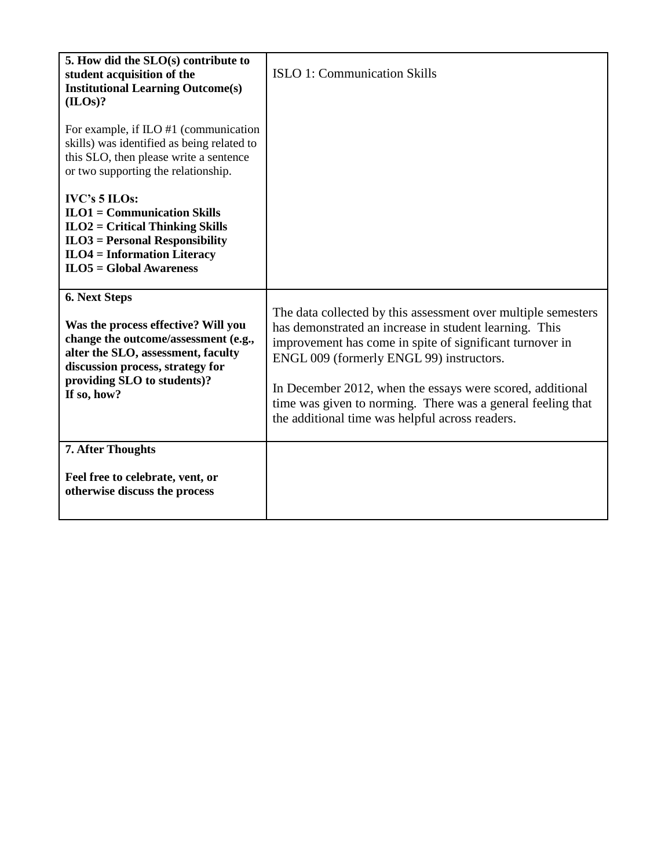| 5. How did the SLO(s) contribute to<br>student acquisition of the<br><b>Institutional Learning Outcome(s)</b><br>(ILOs)?                                                                                             | <b>ISLO 1: Communication Skills</b>                                                                                                                                                                                                                                                                                                                                                                            |
|----------------------------------------------------------------------------------------------------------------------------------------------------------------------------------------------------------------------|----------------------------------------------------------------------------------------------------------------------------------------------------------------------------------------------------------------------------------------------------------------------------------------------------------------------------------------------------------------------------------------------------------------|
| For example, if ILO #1 (communication<br>skills) was identified as being related to<br>this SLO, then please write a sentence<br>or two supporting the relationship.                                                 |                                                                                                                                                                                                                                                                                                                                                                                                                |
| IVC's 5 ILOs:<br>$ILO1 = Communication Skills$<br>$ILO2 = Critical Thinking Skills$<br>$ILO3 = Personal Responsibility$<br>$ILO4 = Information Literary$<br>$ILO5 = Global Awareness$                                |                                                                                                                                                                                                                                                                                                                                                                                                                |
| 6. Next Steps<br>Was the process effective? Will you<br>change the outcome/assessment (e.g.,<br>alter the SLO, assessment, faculty<br>discussion process, strategy for<br>providing SLO to students)?<br>If so, how? | The data collected by this assessment over multiple semesters<br>has demonstrated an increase in student learning. This<br>improvement has come in spite of significant turnover in<br>ENGL 009 (formerly ENGL 99) instructors.<br>In December 2012, when the essays were scored, additional<br>time was given to norming. There was a general feeling that<br>the additional time was helpful across readers. |
| <b>7. After Thoughts</b><br>Feel free to celebrate, vent, or<br>otherwise discuss the process                                                                                                                        |                                                                                                                                                                                                                                                                                                                                                                                                                |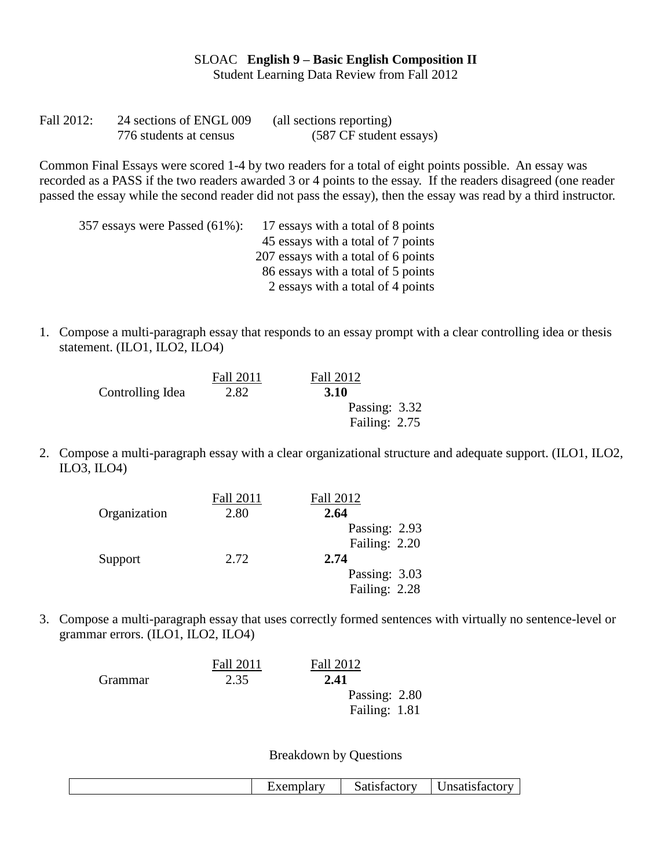SLOAC **English 9 – Basic English Composition II** Student Learning Data Review from Fall 2012

| Fall 2012: | 24 sections of ENGL 009 | (all sections reporting) |
|------------|-------------------------|--------------------------|
|            | 776 students at census  | (587 CF student essays)  |

Common Final Essays were scored 1-4 by two readers for a total of eight points possible. An essay was recorded as a PASS if the two readers awarded 3 or 4 points to the essay. If the readers disagreed (one reader passed the essay while the second reader did not pass the essay), then the essay was read by a third instructor.

| 357 essays were Passed (61%): | 17 essays with a total of 8 points  |
|-------------------------------|-------------------------------------|
|                               | 45 essays with a total of 7 points  |
|                               | 207 essays with a total of 6 points |
|                               | 86 essays with a total of 5 points  |
|                               | 2 essays with a total of 4 points   |
|                               |                                     |

1. Compose a multi-paragraph essay that responds to an essay prompt with a clear controlling idea or thesis statement. (ILO1, ILO2, ILO4)

|                  | <b>Fall 2011</b> | Fall 2012     |
|------------------|------------------|---------------|
| Controlling Idea | 2.82             | <b>3.10</b>   |
|                  |                  | Passing: 3.32 |
|                  |                  | Failing: 2.75 |

2. Compose a multi-paragraph essay with a clear organizational structure and adequate support. (ILO1, ILO2, ILO3, ILO4)

|              | <b>Fall 2011</b> | Fall 2012     |
|--------------|------------------|---------------|
| Organization | 2.80             | 2.64          |
|              |                  | Passing: 2.93 |
|              |                  | Failing: 2.20 |
| Support      | 2.72             | 2.74          |
|              |                  | Passing: 3.03 |
|              |                  | Failing: 2.28 |

3. Compose a multi-paragraph essay that uses correctly formed sentences with virtually no sentence-level or grammar errors. (ILO1, ILO2, ILO4)

|         | <b>Fall 2011</b> | <b>Fall 2012</b> |
|---------|------------------|------------------|
| Grammar | 2.35             | 2.41             |
|         |                  | Passing: 2.80    |
|         |                  | Failing: 1.81    |
|         |                  |                  |

Breakdown by Questions

|  | <b>Exemplar</b> | Satisfactory | <b>Insatisfactory</b> |
|--|-----------------|--------------|-----------------------|
|--|-----------------|--------------|-----------------------|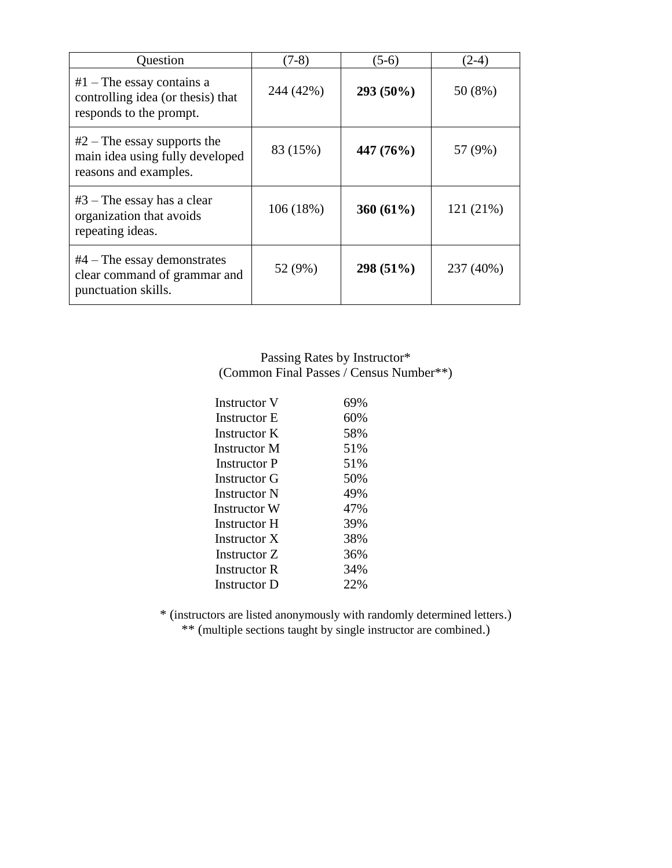| Question                                                                                    | $(7-8)$   | $(5-6)$      | $(2-4)$   |
|---------------------------------------------------------------------------------------------|-----------|--------------|-----------|
| $#1$ – The essay contains a<br>controlling idea (or thesis) that<br>responds to the prompt. | 244 (42%) | 293 (50%)    | 50 (8%)   |
| $#2$ – The essay supports the<br>main idea using fully developed<br>reasons and examples.   | 83 (15%)  | 447 (76%)    | 57 (9%)   |
| $#3$ – The essay has a clear<br>organization that avoids<br>repeating ideas.                | 106(18%)  | 360 $(61\%)$ | 121 (21%) |
| $#4$ – The essay demonstrates<br>clear command of grammar and<br>punctuation skills.        | 52 (9%)   | 298 (51%)    | 237 (40%) |

Passing Rates by Instructor\* (Common Final Passes / Census Number\*\*)

| <b>Instructor V</b> | 69% |
|---------------------|-----|
| <b>Instructor E</b> | 60% |
| Instructor K        | 58% |
| Instructor M        | 51% |
| Instructor P        | 51% |
| Instructor G        | 50% |
| <b>Instructor N</b> | 49% |
| Instructor W        | 47% |
| Instructor H        | 39% |
| Instructor X        | 38% |
| Instructor Z        | 36% |
| <b>Instructor R</b> | 34% |
| <b>Instructor D</b> | 22% |

\* (instructors are listed anonymously with randomly determined letters.) \*\* (multiple sections taught by single instructor are combined.)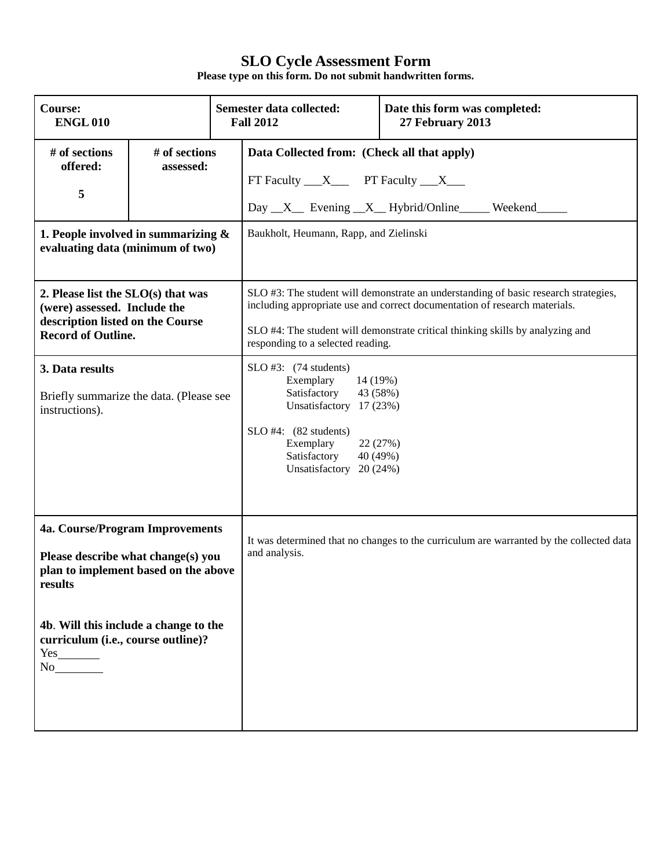| <b>Course:</b><br><b>ENGL010</b>                                                                                                    |                            | Semester data collected:<br>Date this form was completed:<br><b>Fall 2012</b><br>27 February 2013                                                                                                                                                                                        |  |  |
|-------------------------------------------------------------------------------------------------------------------------------------|----------------------------|------------------------------------------------------------------------------------------------------------------------------------------------------------------------------------------------------------------------------------------------------------------------------------------|--|--|
| # of sections<br>offered:<br>5                                                                                                      | # of sections<br>assessed: | Data Collected from: (Check all that apply)<br>FT Faculty $\_\_X\_\_$ PT Faculty $\_\_X\_\_$<br>Day X Evening X Hybrid/Online Weekend                                                                                                                                                    |  |  |
| 1. People involved in summarizing $\&$<br>evaluating data (minimum of two)                                                          |                            | Baukholt, Heumann, Rapp, and Zielinski                                                                                                                                                                                                                                                   |  |  |
| 2. Please list the SLO(s) that was<br>(were) assessed. Include the<br>description listed on the Course<br><b>Record of Outline.</b> |                            | SLO #3: The student will demonstrate an understanding of basic research strategies,<br>including appropriate use and correct documentation of research materials.<br>SLO #4: The student will demonstrate critical thinking skills by analyzing and<br>responding to a selected reading. |  |  |
| 3. Data results<br>Briefly summarize the data. (Please see<br>instructions).                                                        |                            | $SLO$ #3: $(74$ students)<br>Exemplary<br>14 (19%)<br>Satisfactory<br>43 (58%)<br>Unsatisfactory 17 (23%)<br>$SLO$ #4: $(82$ students)<br>Exemplary<br>22 (27%)<br>Satisfactory<br>40 (49%)<br>Unsatisfactory 20 (24%)                                                                   |  |  |
| 4a. Course/Program Improvements<br>Please describe what change(s) you<br>plan to implement based on the above<br>results            |                            | It was determined that no changes to the curriculum are warranted by the collected data<br>and analysis.                                                                                                                                                                                 |  |  |
| 4b. Will this include a change to the<br>curriculum (i.e., course outline)?<br>Yes<br>No                                            |                            |                                                                                                                                                                                                                                                                                          |  |  |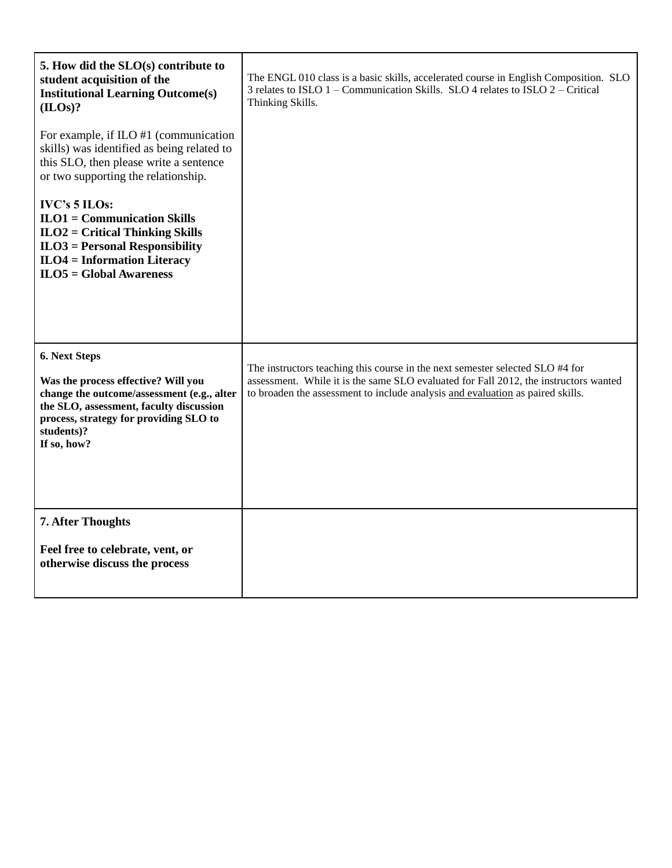| 5. How did the SLO(s) contribute to<br>student acquisition of the<br><b>Institutional Learning Outcome(s)</b><br>(ILOS)?                                                                                             | The ENGL 010 class is a basic skills, accelerated course in English Composition. SLO<br>3 relates to ISLO 1 - Communication Skills. SLO 4 relates to ISLO 2 - Critical<br>Thinking Skills.                                                              |
|----------------------------------------------------------------------------------------------------------------------------------------------------------------------------------------------------------------------|---------------------------------------------------------------------------------------------------------------------------------------------------------------------------------------------------------------------------------------------------------|
| For example, if $ILO$ #1 (communication<br>skills) was identified as being related to<br>this SLO, then please write a sentence<br>or two supporting the relationship.                                               |                                                                                                                                                                                                                                                         |
| <b>IVC's 5 ILOs:</b><br>$ILO1 = Communication Skills$<br>$ILO2 = Critical Thinking Skills$<br>$ILO3 = Personal Responsibility$<br>$ILO4 = Information Literary$<br>$ILOS = Global Awareness$                         |                                                                                                                                                                                                                                                         |
| 6. Next Steps<br>Was the process effective? Will you<br>change the outcome/assessment (e.g., alter<br>the SLO, assessment, faculty discussion<br>process, strategy for providing SLO to<br>students)?<br>If so, how? | The instructors teaching this course in the next semester selected SLO #4 for<br>assessment. While it is the same SLO evaluated for Fall 2012, the instructors wanted<br>to broaden the assessment to include analysis and evaluation as paired skills. |
| 7. After Thoughts<br>Feel free to celebrate, vent, or<br>otherwise discuss the process                                                                                                                               |                                                                                                                                                                                                                                                         |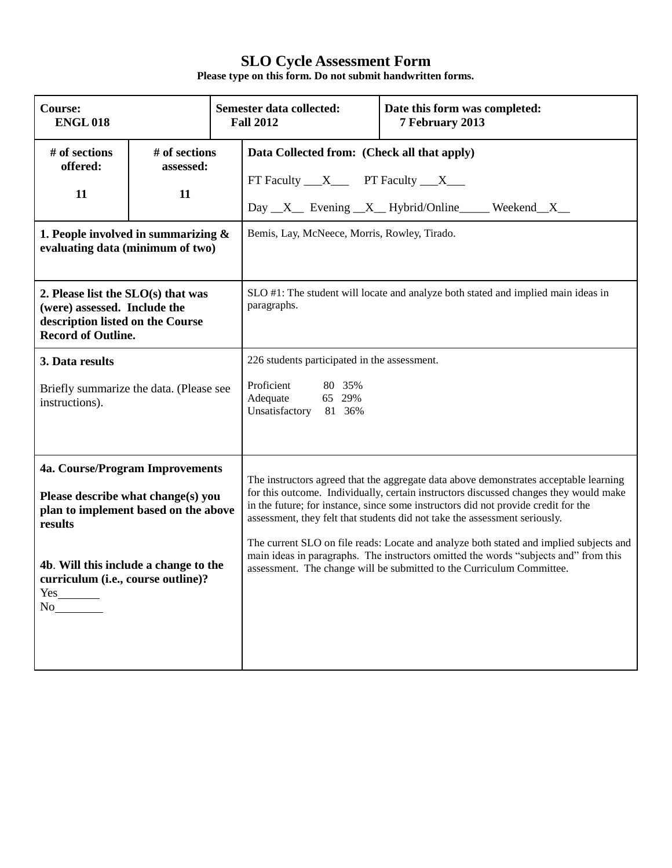| <b>Course:</b><br><b>ENGL018</b>                                                                                                                                                                                     |  | Semester data collected:<br>Date this form was completed:<br><b>Fall 2012</b><br>7 February 2013                                                                                                    |                                                                                                                                                                                                                                                                                                                                                                                                                                                                                                                                                                                                               |  |
|----------------------------------------------------------------------------------------------------------------------------------------------------------------------------------------------------------------------|--|-----------------------------------------------------------------------------------------------------------------------------------------------------------------------------------------------------|---------------------------------------------------------------------------------------------------------------------------------------------------------------------------------------------------------------------------------------------------------------------------------------------------------------------------------------------------------------------------------------------------------------------------------------------------------------------------------------------------------------------------------------------------------------------------------------------------------------|--|
| # of sections<br># of sections<br>offered:<br>assessed:<br>11<br>11<br>1. People involved in summarizing $\&$<br>evaluating data (minimum of two)                                                                    |  | Data Collected from: (Check all that apply)<br>FT Faculty $\_\_X\_\_$ PT Faculty $\_\_X\_\_$<br>Day _X_ Evening _X_ Hybrid/Online _____ Weekend _X_<br>Bemis, Lay, McNeece, Morris, Rowley, Tirado. |                                                                                                                                                                                                                                                                                                                                                                                                                                                                                                                                                                                                               |  |
| 2. Please list the $SLO(s)$ that was<br>(were) assessed. Include the<br>description listed on the Course<br><b>Record of Outline.</b>                                                                                |  | SLO #1: The student will locate and analyze both stated and implied main ideas in<br>paragraphs.                                                                                                    |                                                                                                                                                                                                                                                                                                                                                                                                                                                                                                                                                                                                               |  |
| 3. Data results<br>Briefly summarize the data. (Please see<br>instructions).                                                                                                                                         |  | 226 students participated in the assessment.<br>Proficient<br>80 35%<br>65 29%<br>Adequate<br>Unsatisfactory<br>81 36%                                                                              |                                                                                                                                                                                                                                                                                                                                                                                                                                                                                                                                                                                                               |  |
| 4a. Course/Program Improvements<br>Please describe what change(s) you<br>plan to implement based on the above<br>results<br>4b. Will this include a change to the<br>curriculum (i.e., course outline)?<br>Yes<br>No |  |                                                                                                                                                                                                     | The instructors agreed that the aggregate data above demonstrates acceptable learning<br>for this outcome. Individually, certain instructors discussed changes they would make<br>in the future; for instance, since some instructors did not provide credit for the<br>assessment, they felt that students did not take the assessment seriously.<br>The current SLO on file reads: Locate and analyze both stated and implied subjects and<br>main ideas in paragraphs. The instructors omitted the words "subjects and" from this<br>assessment. The change will be submitted to the Curriculum Committee. |  |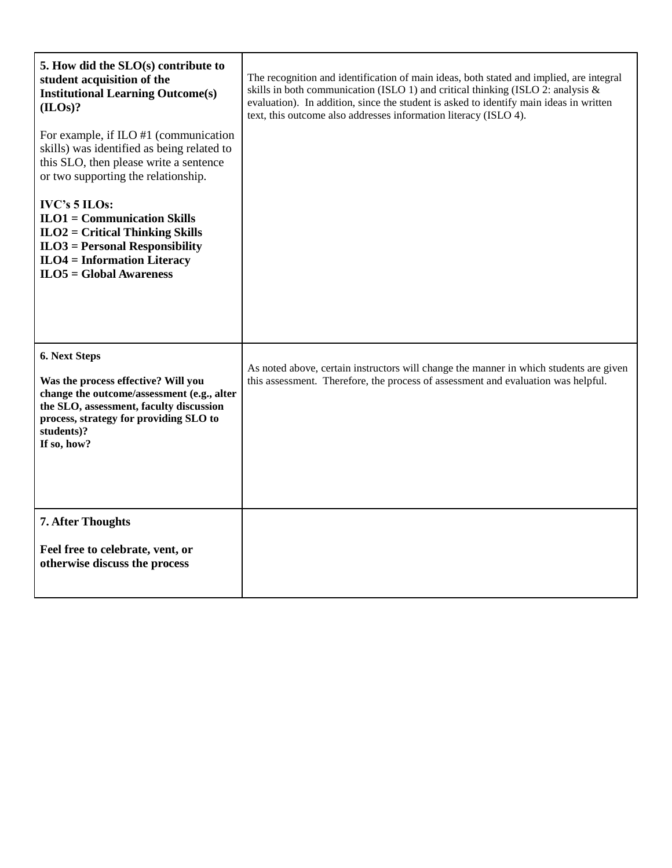| 5. How did the SLO(s) contribute to<br>student acquisition of the<br><b>Institutional Learning Outcome(s)</b><br>(ILOs)?                                                                                             | The recognition and identification of main ideas, both stated and implied, are integral<br>skills in both communication (ISLO 1) and critical thinking (ISLO 2: analysis $\&$<br>evaluation). In addition, since the student is asked to identify main ideas in written<br>text, this outcome also addresses information literacy (ISLO 4). |
|----------------------------------------------------------------------------------------------------------------------------------------------------------------------------------------------------------------------|---------------------------------------------------------------------------------------------------------------------------------------------------------------------------------------------------------------------------------------------------------------------------------------------------------------------------------------------|
| For example, if $ILO$ #1 (communication<br>skills) was identified as being related to<br>this SLO, then please write a sentence<br>or two supporting the relationship.                                               |                                                                                                                                                                                                                                                                                                                                             |
| <b>IVC's 5 ILOs:</b><br>$ILO1 = Communication Skills$<br>$ILO2 = Critical Thinking Skills$<br>$ILO3 = Personal Responsibility$<br>$ILO4 = Information Literary$<br>$ILO5 = Global Awards$                            |                                                                                                                                                                                                                                                                                                                                             |
| 6. Next Steps<br>Was the process effective? Will you<br>change the outcome/assessment (e.g., alter<br>the SLO, assessment, faculty discussion<br>process, strategy for providing SLO to<br>students)?<br>If so, how? | As noted above, certain instructors will change the manner in which students are given<br>this assessment. Therefore, the process of assessment and evaluation was helpful.                                                                                                                                                                 |
| 7. After Thoughts<br>Feel free to celebrate, vent, or<br>otherwise discuss the process                                                                                                                               |                                                                                                                                                                                                                                                                                                                                             |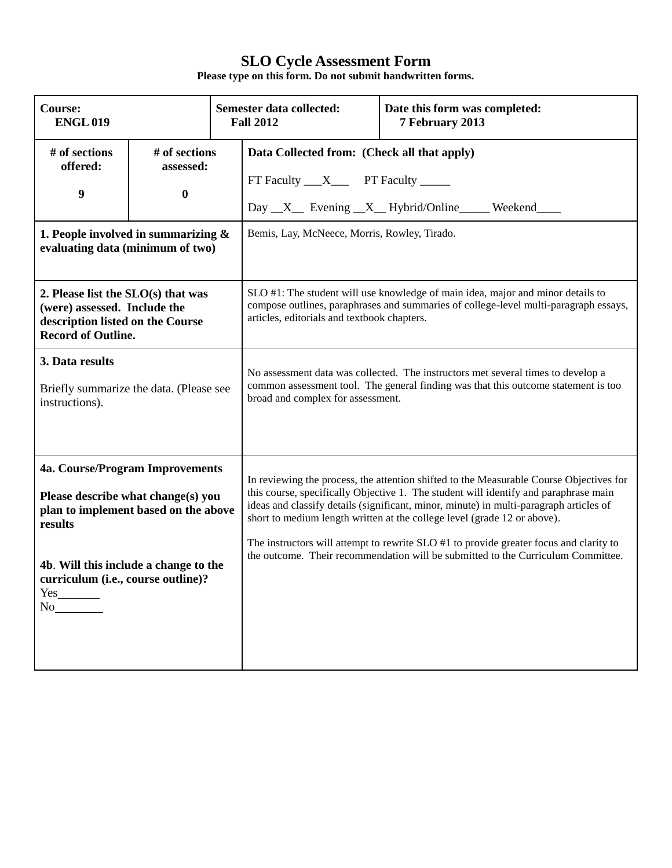| <b>Course:</b><br><b>ENGL019</b>                                                                                                                                                                                     |                                                                                                                      |                                                                                                                                                                                                             | Semester data collected:<br>Date this form was completed:<br><b>Fall 2012</b><br>7 February 2013                                                                                                                                                                                                                                                                                                                                                                                                                                    |  |  |
|----------------------------------------------------------------------------------------------------------------------------------------------------------------------------------------------------------------------|----------------------------------------------------------------------------------------------------------------------|-------------------------------------------------------------------------------------------------------------------------------------------------------------------------------------------------------------|-------------------------------------------------------------------------------------------------------------------------------------------------------------------------------------------------------------------------------------------------------------------------------------------------------------------------------------------------------------------------------------------------------------------------------------------------------------------------------------------------------------------------------------|--|--|
| # of sections<br>offered:<br>9                                                                                                                                                                                       | # of sections<br>assessed:<br>$\bf{0}$<br>1. People involved in summarizing $\&$<br>evaluating data (minimum of two) |                                                                                                                                                                                                             | Data Collected from: (Check all that apply)<br>FT Faculty ___X______ PT Faculty ______<br>Day _X_ Evening _X_ Hybrid/Online _____ Weekend<br>Bemis, Lay, McNeece, Morris, Rowley, Tirado.                                                                                                                                                                                                                                                                                                                                           |  |  |
| 2. Please list the $SLO(s)$ that was<br>(were) assessed. Include the<br>description listed on the Course<br><b>Record of Outline.</b>                                                                                |                                                                                                                      |                                                                                                                                                                                                             | SLO #1: The student will use knowledge of main idea, major and minor details to<br>compose outlines, paraphrases and summaries of college-level multi-paragraph essays,<br>articles, editorials and textbook chapters.                                                                                                                                                                                                                                                                                                              |  |  |
| 3. Data results<br>Briefly summarize the data. (Please see<br>instructions).                                                                                                                                         |                                                                                                                      | No assessment data was collected. The instructors met several times to develop a<br>common assessment tool. The general finding was that this outcome statement is too<br>broad and complex for assessment. |                                                                                                                                                                                                                                                                                                                                                                                                                                                                                                                                     |  |  |
| 4a. Course/Program Improvements<br>Please describe what change(s) you<br>plan to implement based on the above<br>results<br>4b. Will this include a change to the<br>curriculum (i.e., course outline)?<br>Yes<br>No |                                                                                                                      |                                                                                                                                                                                                             | In reviewing the process, the attention shifted to the Measurable Course Objectives for<br>this course, specifically Objective 1. The student will identify and paraphrase main<br>ideas and classify details (significant, minor, minute) in multi-paragraph articles of<br>short to medium length written at the college level (grade 12 or above).<br>The instructors will attempt to rewrite SLO #1 to provide greater focus and clarity to<br>the outcome. Their recommendation will be submitted to the Curriculum Committee. |  |  |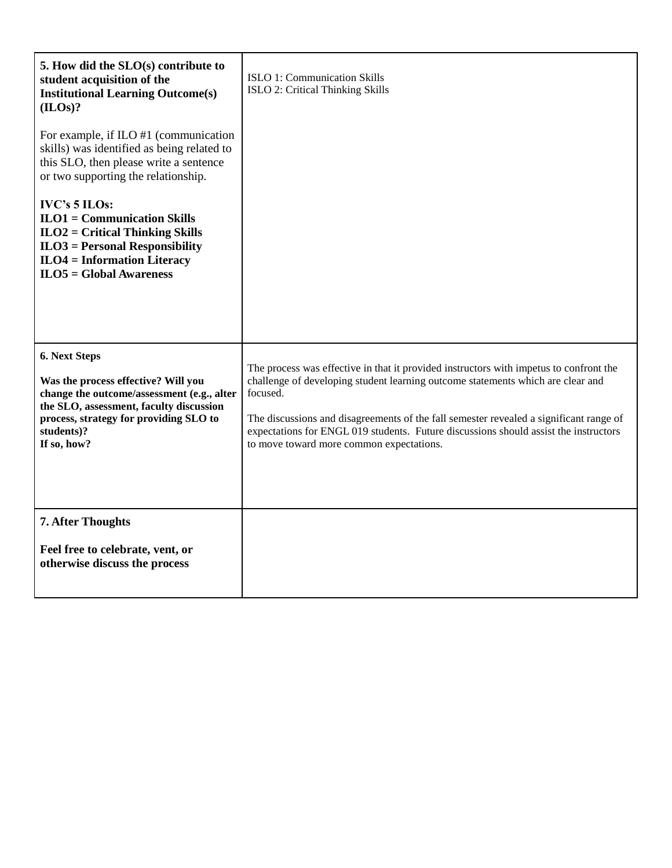| 5. How did the $SLO(s)$ contribute to<br>student acquisition of the<br><b>Institutional Learning Outcome(s)</b><br>(ILOS)?                                                                                           | ISLO 1: Communication Skills<br>ISLO 2: Critical Thinking Skills                                                                                                                                                                                                                                                                                                                                                    |
|----------------------------------------------------------------------------------------------------------------------------------------------------------------------------------------------------------------------|---------------------------------------------------------------------------------------------------------------------------------------------------------------------------------------------------------------------------------------------------------------------------------------------------------------------------------------------------------------------------------------------------------------------|
| For example, if ILO #1 (communication<br>skills) was identified as being related to<br>this SLO, then please write a sentence<br>or two supporting the relationship.                                                 |                                                                                                                                                                                                                                                                                                                                                                                                                     |
| IVC's 5 ILOs:<br>$ILO1 = Communication Skills$<br>$ILO2 = Critical Thinking Skills$<br>$ILO3 = Personal Responsibility$<br>$ILO4 = Information Literary$<br>$ILO5 = Global Awards$                                   |                                                                                                                                                                                                                                                                                                                                                                                                                     |
| 6. Next Steps<br>Was the process effective? Will you<br>change the outcome/assessment (e.g., alter<br>the SLO, assessment, faculty discussion<br>process, strategy for providing SLO to<br>students)?<br>If so, how? | The process was effective in that it provided instructors with impetus to confront the<br>challenge of developing student learning outcome statements which are clear and<br>focused.<br>The discussions and disagreements of the fall semester revealed a significant range of<br>expectations for ENGL 019 students. Future discussions should assist the instructors<br>to move toward more common expectations. |
| <b>7. After Thoughts</b><br>Feel free to celebrate, vent, or<br>otherwise discuss the process                                                                                                                        |                                                                                                                                                                                                                                                                                                                                                                                                                     |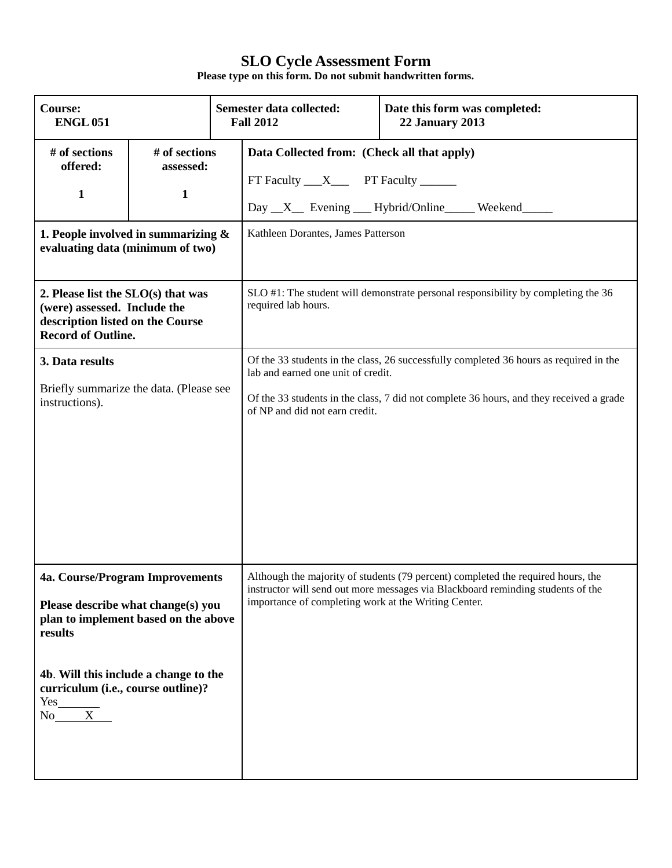| <b>Course:</b><br><b>ENGL 051</b>                                                                                                                                                                                                   |                                            |                                                                                                                                                                                                                                                           | Semester data collected:<br><b>Fall 2012</b>                                                                                                                        | Date this form was completed:<br><b>22 January 2013</b> |  |
|-------------------------------------------------------------------------------------------------------------------------------------------------------------------------------------------------------------------------------------|--------------------------------------------|-----------------------------------------------------------------------------------------------------------------------------------------------------------------------------------------------------------------------------------------------------------|---------------------------------------------------------------------------------------------------------------------------------------------------------------------|---------------------------------------------------------|--|
| # of sections<br>offered:<br>1                                                                                                                                                                                                      | # of sections<br>assessed:<br>$\mathbf{1}$ |                                                                                                                                                                                                                                                           | Data Collected from: (Check all that apply)<br>FT Faculty ___ X____ PT Faculty ______<br>Day X Evening Hybrid/Online Weekend                                        |                                                         |  |
| 1. People involved in summarizing $\&$<br>evaluating data (minimum of two)                                                                                                                                                          |                                            |                                                                                                                                                                                                                                                           | Kathleen Dorantes, James Patterson                                                                                                                                  |                                                         |  |
| 2. Please list the SLO(s) that was<br>(were) assessed. Include the<br>description listed on the Course<br><b>Record of Outline.</b>                                                                                                 |                                            |                                                                                                                                                                                                                                                           | SLO #1: The student will demonstrate personal responsibility by completing the 36<br>required lab hours.                                                            |                                                         |  |
| 3. Data results<br>Briefly summarize the data. (Please see<br>instructions).                                                                                                                                                        |                                            | Of the 33 students in the class, 26 successfully completed 36 hours as required in the<br>lab and earned one unit of credit.<br>Of the 33 students in the class, 7 did not complete 36 hours, and they received a grade<br>of NP and did not earn credit. |                                                                                                                                                                     |                                                         |  |
| 4a. Course/Program Improvements<br>Please describe what change(s) you<br>plan to implement based on the above<br>results<br>4b. Will this include a change to the<br>curriculum (i.e., course outline)?<br>$\frac{Yes_{x}}{No_{x}}$ |                                            | importance of completing work at the Writing Center.                                                                                                                                                                                                      | Although the majority of students (79 percent) completed the required hours, the<br>instructor will send out more messages via Blackboard reminding students of the |                                                         |  |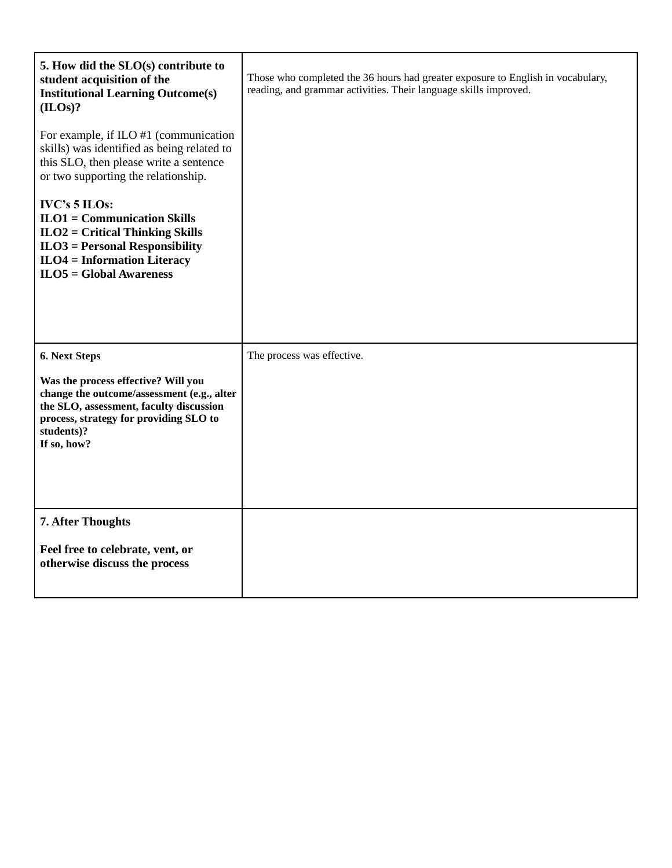| 5. How did the SLO(s) contribute to<br>student acquisition of the<br><b>Institutional Learning Outcome(s)</b><br>(ILOs)?                                                                                             | Those who completed the 36 hours had greater exposure to English in vocabulary,<br>reading, and grammar activities. Their language skills improved. |
|----------------------------------------------------------------------------------------------------------------------------------------------------------------------------------------------------------------------|-----------------------------------------------------------------------------------------------------------------------------------------------------|
| For example, if ILO #1 (communication<br>skills) was identified as being related to<br>this SLO, then please write a sentence<br>or two supporting the relationship.                                                 |                                                                                                                                                     |
| IVC's 5 ILOs:<br>$ILO1 = Communication$ Skills<br>$ILO2 = Critical Thinking Skills$<br>$ILO3 = Personal Responsibility$<br>$ILO4 = Information Literary$<br>$ILO5 = Global Awareness$                                |                                                                                                                                                     |
| 6. Next Steps<br>Was the process effective? Will you<br>change the outcome/assessment (e.g., alter<br>the SLO, assessment, faculty discussion<br>process, strategy for providing SLO to<br>students)?<br>If so, how? | The process was effective.                                                                                                                          |
| 7. After Thoughts<br>Feel free to celebrate, vent, or<br>otherwise discuss the process                                                                                                                               |                                                                                                                                                     |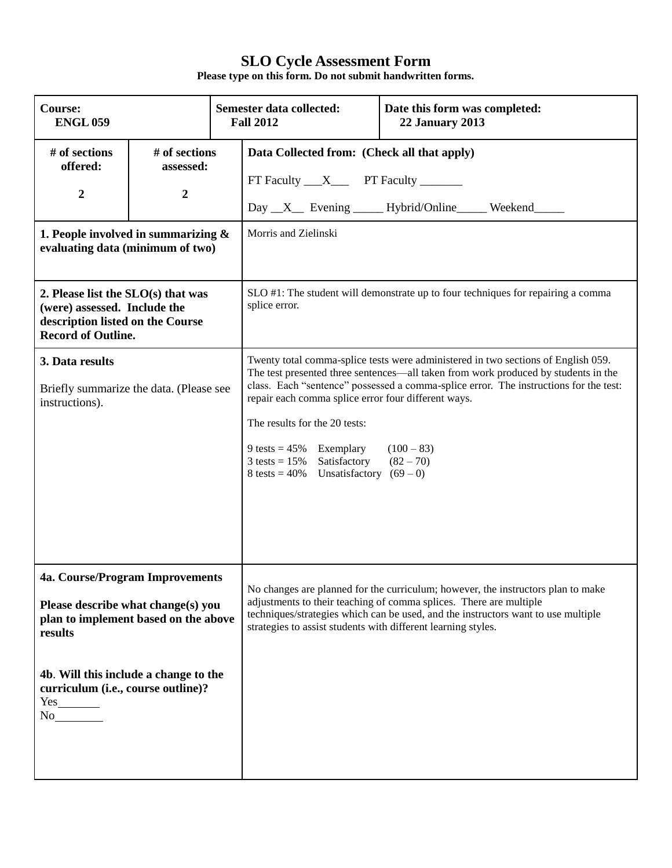| <b>Course:</b><br><b>ENGL 059</b>                                                                                                                                                                       |                                                |                                                                                                                                                                                                                                                                                                                                                                                                                                                                                                                    | Semester data collected:<br>Date this form was completed:<br><b>Fall 2012</b><br><b>22 January 2013</b>                                                                                                                                     |                                     |  |
|---------------------------------------------------------------------------------------------------------------------------------------------------------------------------------------------------------|------------------------------------------------|--------------------------------------------------------------------------------------------------------------------------------------------------------------------------------------------------------------------------------------------------------------------------------------------------------------------------------------------------------------------------------------------------------------------------------------------------------------------------------------------------------------------|---------------------------------------------------------------------------------------------------------------------------------------------------------------------------------------------------------------------------------------------|-------------------------------------|--|
| # of sections<br>offered:<br>2                                                                                                                                                                          | # of sections<br>assessed:<br>$\boldsymbol{2}$ |                                                                                                                                                                                                                                                                                                                                                                                                                                                                                                                    | Data Collected from: (Check all that apply)<br>FT Faculty ___ X____ PT Faculty ______                                                                                                                                                       | Day X Evening Hybrid/Online Weekend |  |
| 1. People involved in summarizing $\&$<br>evaluating data (minimum of two)                                                                                                                              |                                                |                                                                                                                                                                                                                                                                                                                                                                                                                                                                                                                    | Morris and Zielinski                                                                                                                                                                                                                        |                                     |  |
| 2. Please list the SLO(s) that was<br>(were) assessed. Include the<br>description listed on the Course<br><b>Record of Outline.</b>                                                                     |                                                |                                                                                                                                                                                                                                                                                                                                                                                                                                                                                                                    | SLO #1: The student will demonstrate up to four techniques for repairing a comma<br>splice error.                                                                                                                                           |                                     |  |
| 3. Data results<br>Briefly summarize the data. (Please see<br>instructions).                                                                                                                            |                                                | Twenty total comma-splice tests were administered in two sections of English 059.<br>The test presented three sentences—all taken from work produced by students in the<br>class. Each "sentence" possessed a comma-splice error. The instructions for the test:<br>repair each comma splice error four different ways.<br>The results for the 20 tests:<br>9 tests = $45\%$ Exemplary<br>$(100 - 83)$<br>$3 \text{ tests} = 15\%$ Satisfactory<br>$(82 - 70)$<br>$8 \text{ tests} = 40\%$ Unsatisfactory $(69-0)$ |                                                                                                                                                                                                                                             |                                     |  |
| 4a. Course/Program Improvements<br>Please describe what change(s) you<br>plan to implement based on the above<br>results<br>4b. Will this include a change to the<br>curriculum (i.e., course outline)? |                                                | strategies to assist students with different learning styles.                                                                                                                                                                                                                                                                                                                                                                                                                                                      | No changes are planned for the curriculum; however, the instructors plan to make<br>adjustments to their teaching of comma splices. There are multiple<br>techniques/strategies which can be used, and the instructors want to use multiple |                                     |  |
| $Yes$ <sub>__________</sub><br>No                                                                                                                                                                       |                                                |                                                                                                                                                                                                                                                                                                                                                                                                                                                                                                                    |                                                                                                                                                                                                                                             |                                     |  |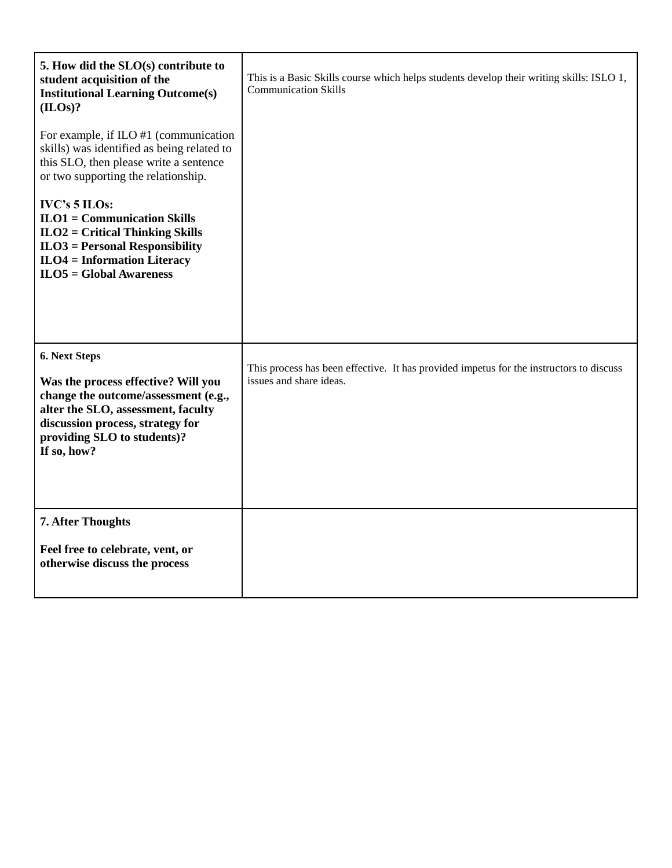| 5. How did the $SLO(s)$ contribute to<br>student acquisition of the<br><b>Institutional Learning Outcome(s)</b><br>(ILOs)?                                                                                           | This is a Basic Skills course which helps students develop their writing skills: ISLO 1,<br><b>Communication Skills</b> |
|----------------------------------------------------------------------------------------------------------------------------------------------------------------------------------------------------------------------|-------------------------------------------------------------------------------------------------------------------------|
| For example, if ILO #1 (communication<br>skills) was identified as being related to<br>this SLO, then please write a sentence<br>or two supporting the relationship.                                                 |                                                                                                                         |
| IVC's 5 ILOs:<br>$ILO1 = Communication Skills$<br>$ILO2 = Critical Thinking Skills$<br>$ILO3 = Personal Responsibility$<br>$ILO4 = Information Literary$<br>$ILO5 = Global Awareness$                                |                                                                                                                         |
| 6. Next Steps<br>Was the process effective? Will you<br>change the outcome/assessment (e.g.,<br>alter the SLO, assessment, faculty<br>discussion process, strategy for<br>providing SLO to students)?<br>If so, how? | This process has been effective. It has provided impetus for the instructors to discuss<br>issues and share ideas.      |
| <b>7. After Thoughts</b><br>Feel free to celebrate, vent, or<br>otherwise discuss the process                                                                                                                        |                                                                                                                         |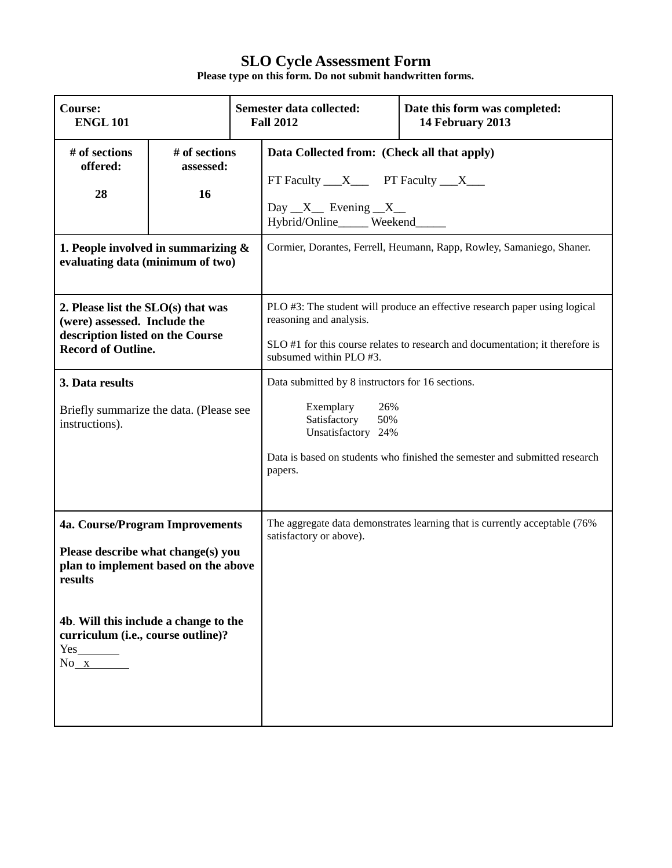| <b>Course:</b><br><b>ENGL 101</b>                                                                                                                                                                                                     |                                  | Semester data collected:<br><b>Fall 2012</b>                                                                                 | Date this form was completed:<br>14 February 2013                                                                                     |                                                                                                                                                             |
|---------------------------------------------------------------------------------------------------------------------------------------------------------------------------------------------------------------------------------------|----------------------------------|------------------------------------------------------------------------------------------------------------------------------|---------------------------------------------------------------------------------------------------------------------------------------|-------------------------------------------------------------------------------------------------------------------------------------------------------------|
| # of sections<br>offered:<br>28                                                                                                                                                                                                       | # of sections<br>assessed:<br>16 |                                                                                                                              | Data Collected from: (Check all that apply)<br>FT Faculty $X$ PT Faculty $X$<br>Day $X$ Evening $X$<br>Hybrid/Online_____ Weekend____ |                                                                                                                                                             |
| 1. People involved in summarizing $\&$<br>evaluating data (minimum of two)                                                                                                                                                            |                                  |                                                                                                                              |                                                                                                                                       | Cormier, Dorantes, Ferrell, Heumann, Rapp, Rowley, Samaniego, Shaner.                                                                                       |
| 2. Please list the $SLO(s)$ that was<br>(were) assessed. Include the<br>description listed on the Course<br><b>Record of Outline.</b>                                                                                                 |                                  |                                                                                                                              | reasoning and analysis.<br>subsumed within PLO #3.                                                                                    | PLO #3: The student will produce an effective research paper using logical<br>SLO #1 for this course relates to research and documentation; it therefore is |
| 3. Data results<br>Briefly summarize the data. (Please see<br>instructions).                                                                                                                                                          |                                  | Data submitted by 8 instructors for 16 sections.<br>Exemplary<br>26%<br>Satisfactory<br>50%<br>Unsatisfactory 24%<br>papers. | Data is based on students who finished the semester and submitted research                                                            |                                                                                                                                                             |
| 4a. Course/Program Improvements<br>Please describe what change(s) you<br>plan to implement based on the above<br>results<br>4b. Will this include a change to the<br>curriculum (i.e., course outline)?<br>$Yes$ <sub>0</sub><br>No x |                                  |                                                                                                                              | satisfactory or above).                                                                                                               | The aggregate data demonstrates learning that is currently acceptable (76%                                                                                  |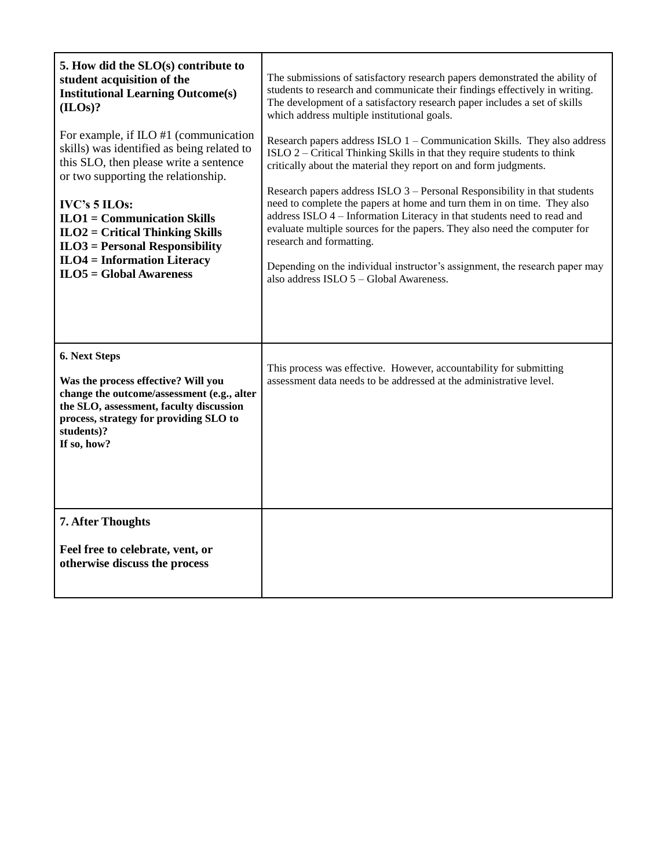| 5. How did the SLO(s) contribute to<br>student acquisition of the<br><b>Institutional Learning Outcome(s)</b><br>(ILOS)?<br>For example, if ILO #1 (communication<br>skills) was identified as being related to<br>this SLO, then please write a sentence<br>or two supporting the relationship.<br><b>IVC's 5 ILOs:</b><br>$ILO1 = Communication Skills$<br>$ILO2 = Critical Thinking Skills$<br>$ILO3 = Personal Responsibility$<br>$ILO4 = Information Literary$<br>$ILO5 = Global Awards$ | The submissions of satisfactory research papers demonstrated the ability of<br>students to research and communicate their findings effectively in writing.<br>The development of a satisfactory research paper includes a set of skills<br>which address multiple institutional goals.<br>Research papers address ISLO $1$ – Communication Skills. They also address<br>ISLO 2 – Critical Thinking Skills in that they require students to think<br>critically about the material they report on and form judgments.<br>Research papers address ISLO 3 – Personal Responsibility in that students<br>need to complete the papers at home and turn them in on time. They also<br>address ISLO 4 - Information Literacy in that students need to read and<br>evaluate multiple sources for the papers. They also need the computer for<br>research and formatting.<br>Depending on the individual instructor's assignment, the research paper may<br>also address ISLO 5 - Global Awareness. |
|-----------------------------------------------------------------------------------------------------------------------------------------------------------------------------------------------------------------------------------------------------------------------------------------------------------------------------------------------------------------------------------------------------------------------------------------------------------------------------------------------|--------------------------------------------------------------------------------------------------------------------------------------------------------------------------------------------------------------------------------------------------------------------------------------------------------------------------------------------------------------------------------------------------------------------------------------------------------------------------------------------------------------------------------------------------------------------------------------------------------------------------------------------------------------------------------------------------------------------------------------------------------------------------------------------------------------------------------------------------------------------------------------------------------------------------------------------------------------------------------------------|
| 6. Next Steps<br>Was the process effective? Will you<br>change the outcome/assessment (e.g., alter<br>the SLO, assessment, faculty discussion<br>process, strategy for providing SLO to<br>students)?<br>If so, how?<br><b>7. After Thoughts</b>                                                                                                                                                                                                                                              | This process was effective. However, accountability for submitting<br>assessment data needs to be addressed at the administrative level.                                                                                                                                                                                                                                                                                                                                                                                                                                                                                                                                                                                                                                                                                                                                                                                                                                                   |
| Feel free to celebrate, vent, or<br>otherwise discuss the process                                                                                                                                                                                                                                                                                                                                                                                                                             |                                                                                                                                                                                                                                                                                                                                                                                                                                                                                                                                                                                                                                                                                                                                                                                                                                                                                                                                                                                            |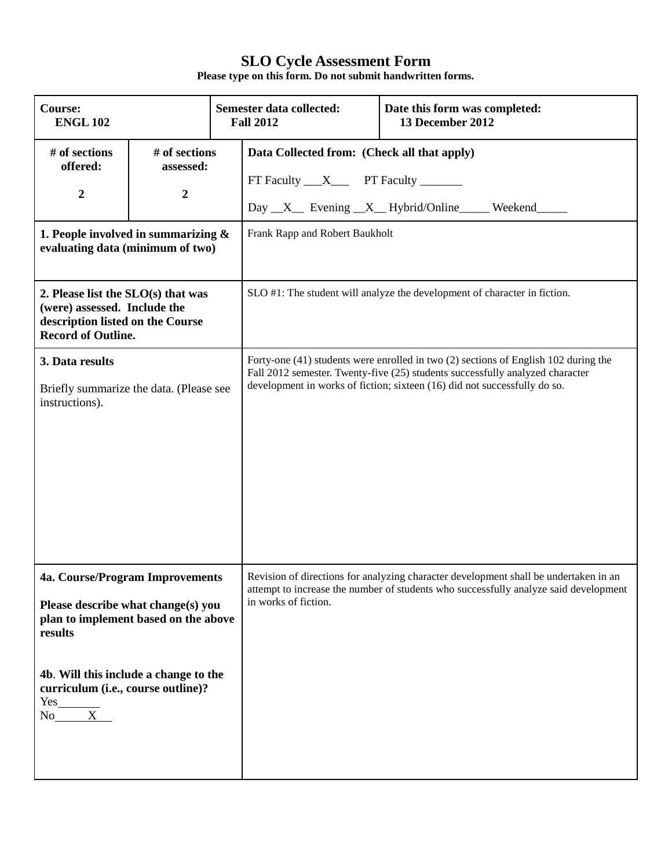| <b>Course:</b><br><b>ENGL 102</b>                                                                                                                                                                                                                   |                                                |                                                                                                                                                                                                                                                   | Semester data collected:<br><b>Fall 2012</b>                                             |  | Date this form was completed:<br>13 December 2012                                                                                                                            |
|-----------------------------------------------------------------------------------------------------------------------------------------------------------------------------------------------------------------------------------------------------|------------------------------------------------|---------------------------------------------------------------------------------------------------------------------------------------------------------------------------------------------------------------------------------------------------|------------------------------------------------------------------------------------------|--|------------------------------------------------------------------------------------------------------------------------------------------------------------------------------|
| # of sections<br>offered:<br>2                                                                                                                                                                                                                      | # of sections<br>assessed:<br>$\boldsymbol{2}$ |                                                                                                                                                                                                                                                   | Data Collected from: (Check all that apply)<br>FT Faculty ___X______ PT Faculty ________ |  | Day _X_ Evening _X_ Hybrid/Online _____ Weekend _____                                                                                                                        |
| 1. People involved in summarizing $\&$<br>evaluating data (minimum of two)                                                                                                                                                                          |                                                |                                                                                                                                                                                                                                                   | Frank Rapp and Robert Baukholt                                                           |  |                                                                                                                                                                              |
| 2. Please list the SLO(s) that was<br>(were) assessed. Include the<br>description listed on the Course<br><b>Record of Outline.</b>                                                                                                                 |                                                |                                                                                                                                                                                                                                                   | SLO #1: The student will analyze the development of character in fiction.                |  |                                                                                                                                                                              |
| 3. Data results<br>Briefly summarize the data. (Please see<br>instructions).                                                                                                                                                                        |                                                | Forty-one (41) students were enrolled in two (2) sections of English 102 during the<br>Fall 2012 semester. Twenty-five (25) students successfully analyzed character<br>development in works of fiction; sixteen (16) did not successfully do so. |                                                                                          |  |                                                                                                                                                                              |
| 4a. Course/Program Improvements<br>Please describe what change(s) you<br>plan to implement based on the above<br>results<br>4b. Will this include a change to the<br>curriculum (i.e., course outline)?<br>$Yes$ <sub>___________</sub><br>$No$ $X$ |                                                |                                                                                                                                                                                                                                                   | in works of fiction.                                                                     |  | Revision of directions for analyzing character development shall be undertaken in an<br>attempt to increase the number of students who successfully analyze said development |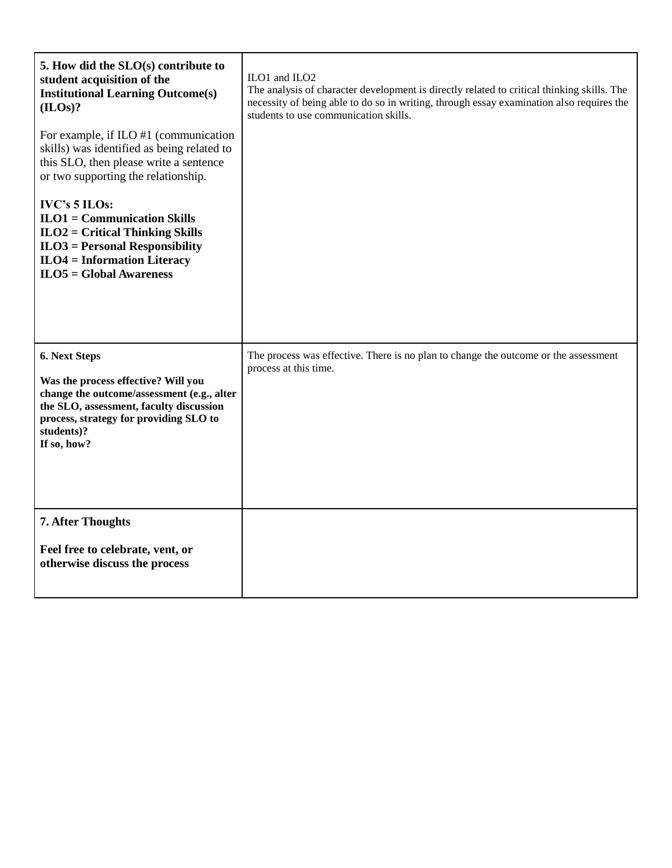| 5. How did the SLO(s) contribute to<br>student acquisition of the<br><b>Institutional Learning Outcome(s)</b><br>(ILOs)?                                                                                             | ILO1 and ILO2<br>The analysis of character development is directly related to critical thinking skills. The<br>necessity of being able to do so in writing, through essay examination also requires the<br>students to use communication skills. |
|----------------------------------------------------------------------------------------------------------------------------------------------------------------------------------------------------------------------|--------------------------------------------------------------------------------------------------------------------------------------------------------------------------------------------------------------------------------------------------|
| For example, if ILO #1 (communication<br>skills) was identified as being related to<br>this SLO, then please write a sentence<br>or two supporting the relationship.                                                 |                                                                                                                                                                                                                                                  |
| IVC's 5 ILOs:<br>$ILO1 = Communication Skills$<br>$ILO2 = Critical Thinking Skills$<br>$ILO3 = Personal Responsibility$<br><b>ILO4</b> = Information Literacy<br>$ILO5 = Global Awards$                              |                                                                                                                                                                                                                                                  |
| 6. Next Steps<br>Was the process effective? Will you<br>change the outcome/assessment (e.g., alter<br>the SLO, assessment, faculty discussion<br>process, strategy for providing SLO to<br>students)?<br>If so, how? | The process was effective. There is no plan to change the outcome or the assessment<br>process at this time.                                                                                                                                     |
| <b>7. After Thoughts</b><br>Feel free to celebrate, vent, or<br>otherwise discuss the process                                                                                                                        |                                                                                                                                                                                                                                                  |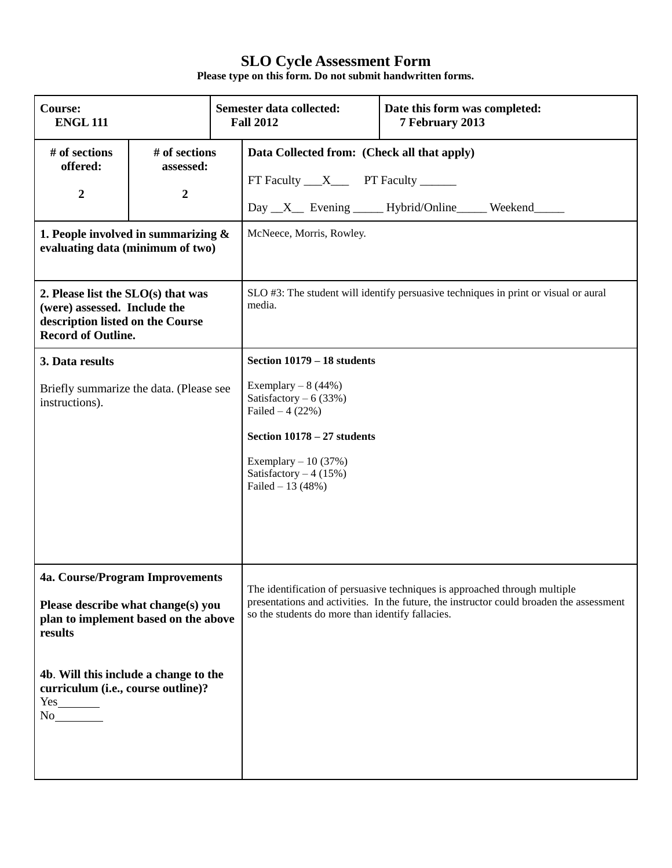| <b>Course:</b><br><b>ENGL 111</b>                                                                                                                                                                                                   |                                                | Semester data collected:<br><b>Fall 2012</b>                                                                                                                                                            | Date this form was completed:<br>7 February 2013                                                                                                                       |
|-------------------------------------------------------------------------------------------------------------------------------------------------------------------------------------------------------------------------------------|------------------------------------------------|---------------------------------------------------------------------------------------------------------------------------------------------------------------------------------------------------------|------------------------------------------------------------------------------------------------------------------------------------------------------------------------|
| # of sections<br>offered:<br>$\boldsymbol{2}$                                                                                                                                                                                       | # of sections<br>assessed:<br>$\boldsymbol{2}$ | Data Collected from: (Check all that apply)<br>FT Faculty __X___ PT Faculty _____                                                                                                                       | Day X Evening Hybrid/Online Weekend                                                                                                                                    |
| 1. People involved in summarizing $\&$<br>evaluating data (minimum of two)                                                                                                                                                          |                                                | McNeece, Morris, Rowley.                                                                                                                                                                                |                                                                                                                                                                        |
| 2. Please list the $SLO(s)$ that was<br>(were) assessed. Include the<br>description listed on the Course<br><b>Record of Outline.</b>                                                                                               |                                                | media.                                                                                                                                                                                                  | SLO #3: The student will identify persuasive techniques in print or visual or aural                                                                                    |
| 3. Data results<br>Briefly summarize the data. (Please see<br>instructions).                                                                                                                                                        |                                                | Section 10179 - 18 students<br>Exemplary $-8(44%)$<br>Satisfactory $-6$ (33%)<br>Failed $-4(22%)$<br>Section 10178 - 27 students<br>Exemplary $-10(37%)$<br>Satisfactory $-4(15%)$<br>Failed $-13(48%)$ |                                                                                                                                                                        |
| 4a. Course/Program Improvements<br>Please describe what change(s) you<br>plan to implement based on the above<br>results<br>4b. Will this include a change to the<br>curriculum (i.e., course outline)?<br>$Yes$ <sub>1</sub><br>No |                                                | so the students do more than identify fallacies.                                                                                                                                                        | The identification of persuasive techniques is approached through multiple<br>presentations and activities. In the future, the instructor could broaden the assessment |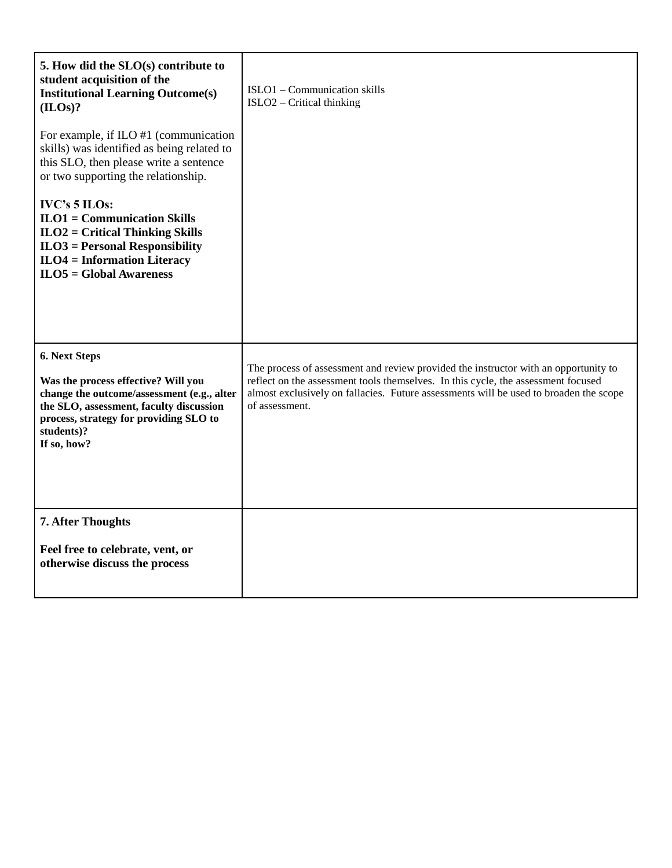| 5. How did the SLO(s) contribute to<br>student acquisition of the<br><b>Institutional Learning Outcome(s)</b><br>(ILOs)?                                                                                             | ISLO1 - Communication skills<br>ISLO2 - Critical thinking                                                                                                                                                                                                                           |
|----------------------------------------------------------------------------------------------------------------------------------------------------------------------------------------------------------------------|-------------------------------------------------------------------------------------------------------------------------------------------------------------------------------------------------------------------------------------------------------------------------------------|
| For example, if $ILO$ #1 (communication<br>skills) was identified as being related to<br>this SLO, then please write a sentence<br>or two supporting the relationship.                                               |                                                                                                                                                                                                                                                                                     |
| <b>IVC's 5 ILOs:</b><br>$ILO1 = Communication Skills$<br>$ILO2 = Critical Thinking Skills$<br>$ILO3 = Personal Responsibility$<br>$ILO4 = Information Literary$<br>$ILO5 = Global Awards$                            |                                                                                                                                                                                                                                                                                     |
| 6. Next Steps<br>Was the process effective? Will you<br>change the outcome/assessment (e.g., alter<br>the SLO, assessment, faculty discussion<br>process, strategy for providing SLO to<br>students)?<br>If so, how? | The process of assessment and review provided the instructor with an opportunity to<br>reflect on the assessment tools themselves. In this cycle, the assessment focused<br>almost exclusively on fallacies. Future assessments will be used to broaden the scope<br>of assessment. |
| 7. After Thoughts<br>Feel free to celebrate, vent, or<br>otherwise discuss the process                                                                                                                               |                                                                                                                                                                                                                                                                                     |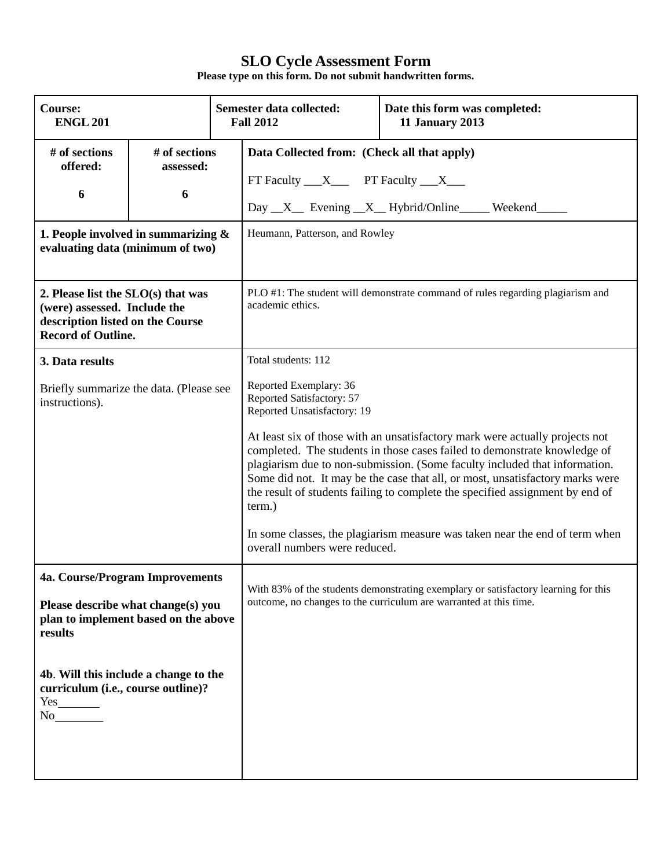| <b>Course:</b><br><b>ENGL 201</b>                                                                                                                                                                                                                                                                                                   |                                 |                                                                                                                                                         | Semester data collected:<br><b>Fall 2012</b>                                                                                                                                                                                                                                                                                                                                                                                                                                             | Date this form was completed:<br><b>11 January 2013</b> |  |
|-------------------------------------------------------------------------------------------------------------------------------------------------------------------------------------------------------------------------------------------------------------------------------------------------------------------------------------|---------------------------------|---------------------------------------------------------------------------------------------------------------------------------------------------------|------------------------------------------------------------------------------------------------------------------------------------------------------------------------------------------------------------------------------------------------------------------------------------------------------------------------------------------------------------------------------------------------------------------------------------------------------------------------------------------|---------------------------------------------------------|--|
| # of sections<br>offered:<br>6                                                                                                                                                                                                                                                                                                      | # of sections<br>assessed:<br>6 |                                                                                                                                                         | Data Collected from: (Check all that apply)<br>FT Faculty $\_\_X\_\_$ PT Faculty $\_\_X\_\_$                                                                                                                                                                                                                                                                                                                                                                                             | Day X Evening X Hybrid/Online Weekend                   |  |
| 1. People involved in summarizing $\&$<br>evaluating data (minimum of two)                                                                                                                                                                                                                                                          |                                 | Heumann, Patterson, and Rowley                                                                                                                          |                                                                                                                                                                                                                                                                                                                                                                                                                                                                                          |                                                         |  |
| 2. Please list the $SLO(s)$ that was<br>(were) assessed. Include the<br>description listed on the Course<br><b>Record of Outline.</b>                                                                                                                                                                                               |                                 |                                                                                                                                                         | PLO #1: The student will demonstrate command of rules regarding plagiarism and<br>academic ethics.                                                                                                                                                                                                                                                                                                                                                                                       |                                                         |  |
| 3. Data results                                                                                                                                                                                                                                                                                                                     |                                 |                                                                                                                                                         | Total students: 112                                                                                                                                                                                                                                                                                                                                                                                                                                                                      |                                                         |  |
| Briefly summarize the data. (Please see<br>instructions).                                                                                                                                                                                                                                                                           |                                 | Reported Exemplary: 36<br>Reported Satisfactory: 57<br>Reported Unsatisfactory: 19<br>term.)<br>overall numbers were reduced.                           | At least six of those with an unsatisfactory mark were actually projects not<br>completed. The students in those cases failed to demonstrate knowledge of<br>plagiarism due to non-submission. (Some faculty included that information.<br>Some did not. It may be the case that all, or most, unsatisfactory marks were<br>the result of students failing to complete the specified assignment by end of<br>In some classes, the plagiarism measure was taken near the end of term when |                                                         |  |
| 4a. Course/Program Improvements<br>Please describe what change(s) you<br>plan to implement based on the above<br>results                                                                                                                                                                                                            |                                 | With 83% of the students demonstrating exemplary or satisfactory learning for this<br>outcome, no changes to the curriculum are warranted at this time. |                                                                                                                                                                                                                                                                                                                                                                                                                                                                                          |                                                         |  |
| 4b. Will this include a change to the<br>curriculum (i.e., course outline)?<br>$Yes$ <sub>1</sub><br>No and the North State of the North State of the North State of the North State of the North State of the North State of the North State of the North State of the North State of the North State of the North State of the No |                                 |                                                                                                                                                         |                                                                                                                                                                                                                                                                                                                                                                                                                                                                                          |                                                         |  |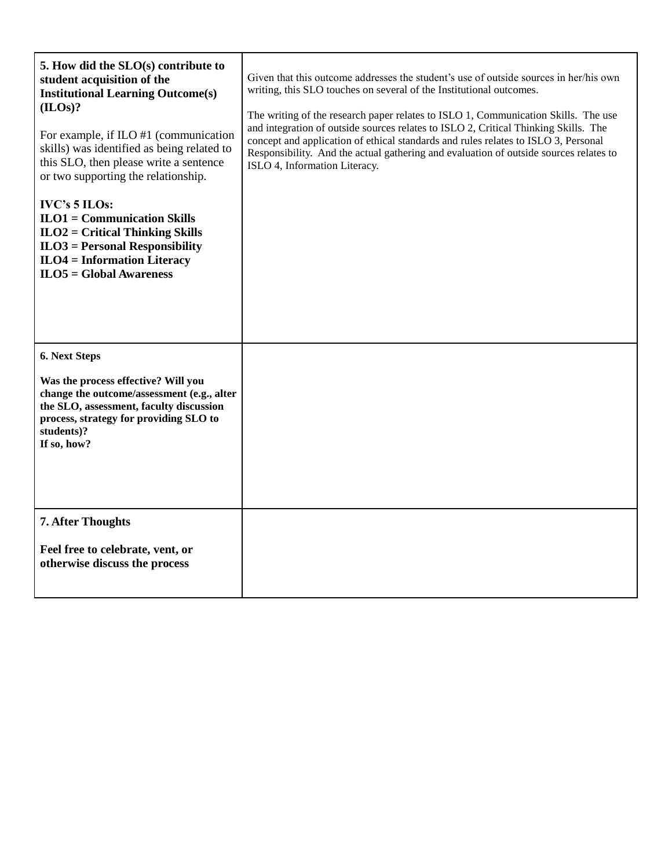| 5. How did the SLO(s) contribute to<br>student acquisition of the<br><b>Institutional Learning Outcome(s)</b><br>(ILOs)?<br>For example, if $ILO$ #1 (communication<br>skills) was identified as being related to<br>this SLO, then please write a sentence<br>or two supporting the relationship.<br><b>IVC's 5 ILOs:</b><br>$ILO1 = Communication Skills$<br>$ILO2 = Critical Thinking Skills$<br>$ILO3 = Personal Responsibility$<br>$ILO4 = Information Literary$<br>$ILO5 = Global Awards$ | Given that this outcome addresses the student's use of outside sources in her/his own<br>writing, this SLO touches on several of the Institutional outcomes.<br>The writing of the research paper relates to ISLO 1, Communication Skills. The use<br>and integration of outside sources relates to ISLO 2, Critical Thinking Skills. The<br>concept and application of ethical standards and rules relates to ISLO 3, Personal<br>Responsibility. And the actual gathering and evaluation of outside sources relates to<br>ISLO 4, Information Literacy. |
|-------------------------------------------------------------------------------------------------------------------------------------------------------------------------------------------------------------------------------------------------------------------------------------------------------------------------------------------------------------------------------------------------------------------------------------------------------------------------------------------------|-----------------------------------------------------------------------------------------------------------------------------------------------------------------------------------------------------------------------------------------------------------------------------------------------------------------------------------------------------------------------------------------------------------------------------------------------------------------------------------------------------------------------------------------------------------|
| 6. Next Steps<br>Was the process effective? Will you<br>change the outcome/assessment (e.g., alter<br>the SLO, assessment, faculty discussion<br>process, strategy for providing SLO to<br>students)?<br>If so, how?<br>7. After Thoughts                                                                                                                                                                                                                                                       |                                                                                                                                                                                                                                                                                                                                                                                                                                                                                                                                                           |
| Feel free to celebrate, vent, or<br>otherwise discuss the process                                                                                                                                                                                                                                                                                                                                                                                                                               |                                                                                                                                                                                                                                                                                                                                                                                                                                                                                                                                                           |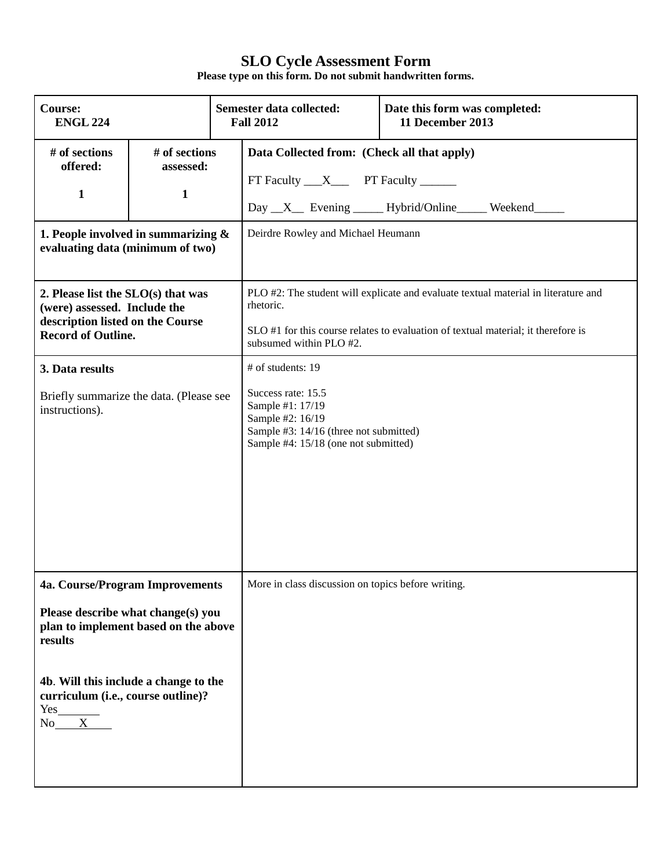| <b>Course:</b><br><b>ENGL 224</b>                                                                                                                                                                                         |                                            |                                                                                                                                                                   | Semester data collected:<br><b>Fall 2012</b>                                                                                                                                                                    | Date this form was completed:<br>11 December 2013 |  |
|---------------------------------------------------------------------------------------------------------------------------------------------------------------------------------------------------------------------------|--------------------------------------------|-------------------------------------------------------------------------------------------------------------------------------------------------------------------|-----------------------------------------------------------------------------------------------------------------------------------------------------------------------------------------------------------------|---------------------------------------------------|--|
| # of sections<br>offered:<br>$\mathbf{1}$                                                                                                                                                                                 | # of sections<br>assessed:<br>$\mathbf{1}$ |                                                                                                                                                                   | Data Collected from: (Check all that apply)<br>$FT$ Faculty $X$ PT Faculty _______                                                                                                                              | Day _X_ Evening _____ Hybrid/Online _____ Weekend |  |
| 1. People involved in summarizing $\&$<br>evaluating data (minimum of two)                                                                                                                                                |                                            |                                                                                                                                                                   | Deirdre Rowley and Michael Heumann                                                                                                                                                                              |                                                   |  |
| 2. Please list the SLO(s) that was<br>(were) assessed. Include the<br>description listed on the Course<br><b>Record of Outline.</b>                                                                                       |                                            |                                                                                                                                                                   | PLO #2: The student will explicate and evaluate textual material in literature and<br>rhetoric.<br>SLO #1 for this course relates to evaluation of textual material; it therefore is<br>subsumed within PLO #2. |                                                   |  |
| 3. Data results<br>Briefly summarize the data. (Please see<br>instructions).                                                                                                                                              |                                            | # of students: 19<br>Success rate: 15.5<br>Sample #1: 17/19<br>Sample #2: 16/19<br>Sample #3: 14/16 (three not submitted)<br>Sample #4: 15/18 (one not submitted) |                                                                                                                                                                                                                 |                                                   |  |
| 4a. Course/Program Improvements<br>Please describe what change(s) you<br>plan to implement based on the above<br>results<br>4b. Will this include a change to the<br>curriculum (i.e., course outline)?<br>Yes<br>X<br>No |                                            | More in class discussion on topics before writing.                                                                                                                |                                                                                                                                                                                                                 |                                                   |  |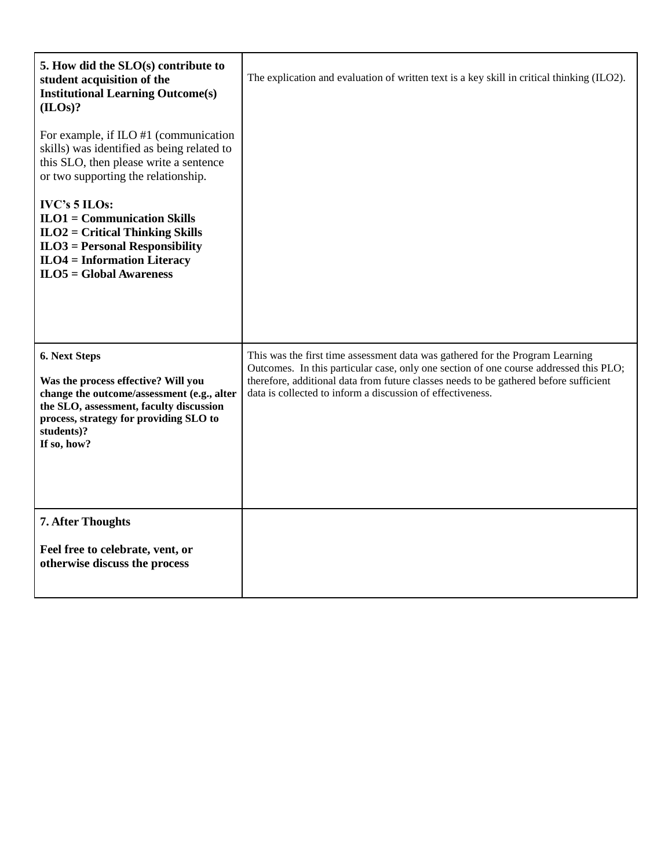| 5. How did the SLO(s) contribute to<br>student acquisition of the<br><b>Institutional Learning Outcome(s)</b><br>(ILOS)?                                                                                             | The explication and evaluation of written text is a key skill in critical thinking (ILO2).                                                                                                                                                                                                                                    |
|----------------------------------------------------------------------------------------------------------------------------------------------------------------------------------------------------------------------|-------------------------------------------------------------------------------------------------------------------------------------------------------------------------------------------------------------------------------------------------------------------------------------------------------------------------------|
| For example, if $ILO$ #1 (communication<br>skills) was identified as being related to<br>this SLO, then please write a sentence<br>or two supporting the relationship.                                               |                                                                                                                                                                                                                                                                                                                               |
| <b>IVC's 5 ILOs:</b><br>$ILO1 = Communication Skills$<br>$ILO2 = Critical Thinking Skills$<br>$ILO3 = Personal Responsibility$<br>$ILO4 = Information Literary$<br>$ILO5 = Global Awareness$                         |                                                                                                                                                                                                                                                                                                                               |
| 6. Next Steps<br>Was the process effective? Will you<br>change the outcome/assessment (e.g., alter<br>the SLO, assessment, faculty discussion<br>process, strategy for providing SLO to<br>students)?<br>If so, how? | This was the first time assessment data was gathered for the Program Learning<br>Outcomes. In this particular case, only one section of one course addressed this PLO;<br>therefore, additional data from future classes needs to be gathered before sufficient<br>data is collected to inform a discussion of effectiveness. |
| <b>7. After Thoughts</b><br>Feel free to celebrate, vent, or<br>otherwise discuss the process                                                                                                                        |                                                                                                                                                                                                                                                                                                                               |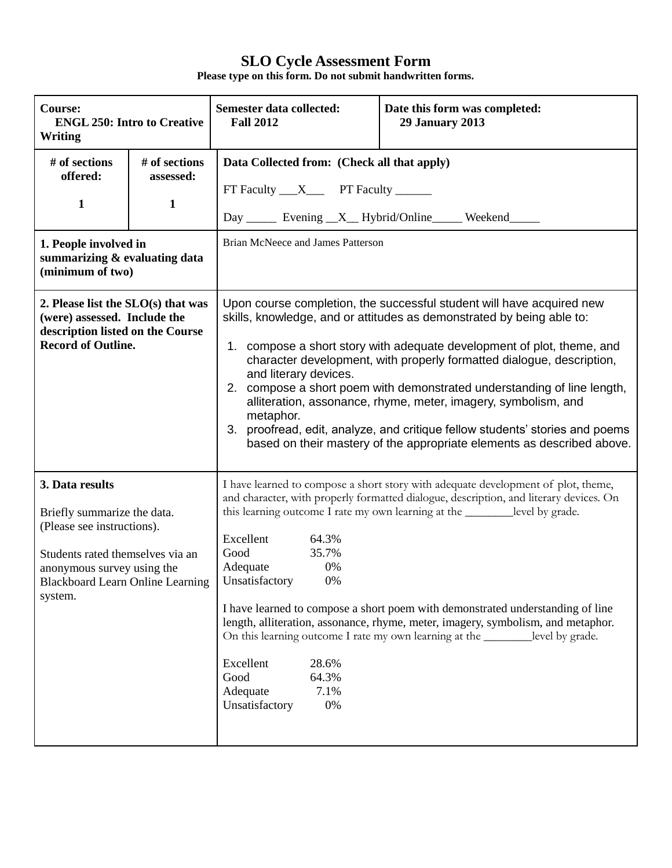| Course:<br><b>ENGL 250: Intro to Creative</b><br><b>Writing</b>                                                                                                                                      |                                            | Semester data collected:<br><b>Fall 2012</b>                                                                                                                     | Date this form was completed:<br><b>29 January 2013</b>                                                                                                                                                                                                                                                                                                                                                                                                                                                                                                                                            |
|------------------------------------------------------------------------------------------------------------------------------------------------------------------------------------------------------|--------------------------------------------|------------------------------------------------------------------------------------------------------------------------------------------------------------------|----------------------------------------------------------------------------------------------------------------------------------------------------------------------------------------------------------------------------------------------------------------------------------------------------------------------------------------------------------------------------------------------------------------------------------------------------------------------------------------------------------------------------------------------------------------------------------------------------|
| # of sections<br>offered:<br>$\mathbf{1}$<br>1. People involved in<br>summarizing & evaluating data<br>(minimum of two)                                                                              | # of sections<br>assessed:<br>$\mathbf{1}$ | Data Collected from: (Check all that apply)<br>FT Faculty ___ X____ PT Faculty ______<br>Brian McNeece and James Patterson                                       | Day ______ Evening __X__ Hybrid/Online ______ Weekend ______                                                                                                                                                                                                                                                                                                                                                                                                                                                                                                                                       |
| 2. Please list the $SLO(s)$ that was<br>(were) assessed. Include the<br>description listed on the Course<br><b>Record of Outline.</b>                                                                |                                            | 1.<br>and literary devices.<br>metaphor.<br>3.                                                                                                                   | Upon course completion, the successful student will have acquired new<br>skills, knowledge, and or attitudes as demonstrated by being able to:<br>compose a short story with adequate development of plot, theme, and<br>character development, with properly formatted dialogue, description,<br>2. compose a short poem with demonstrated understanding of line length,<br>alliteration, assonance, rhyme, meter, imagery, symbolism, and<br>proofread, edit, analyze, and critique fellow students' stories and poems<br>based on their mastery of the appropriate elements as described above. |
| 3. Data results<br>Briefly summarize the data.<br>(Please see instructions).<br>Students rated themselves via an<br>anonymous survey using the<br><b>Blackboard Learn Online Learning</b><br>system. |                                            | Excellent<br>64.3%<br>Good<br>35.7%<br>Adequate<br>0%<br>Unsatisfactory<br>0%<br>Excellent<br>28.6%<br>Good<br>64.3%<br>7.1%<br>Adequate<br>Unsatisfactory<br>0% | I have learned to compose a short story with adequate development of plot, theme,<br>and character, with properly formatted dialogue, description, and literary devices. On<br>this learning outcome I rate my own learning at the __________level by grade.<br>I have learned to compose a short poem with demonstrated understanding of line<br>length, alliteration, assonance, rhyme, meter, imagery, symbolism, and metaphor.<br>On this learning outcome I rate my own learning at the __________ level by grade.                                                                            |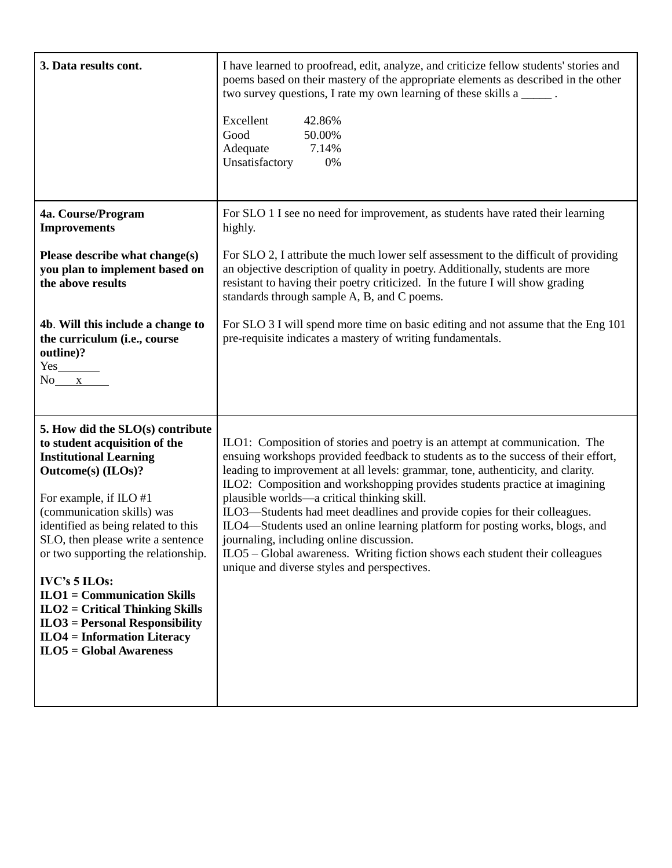| 3. Data results cont.                                                                                                                                                                                                                                                                                                                                                                                                                                                                            | I have learned to proofread, edit, analyze, and criticize fellow students' stories and<br>poems based on their mastery of the appropriate elements as described in the other<br>two survey questions, I rate my own learning of these skills a ______.<br>Excellent<br>42.86%<br>Good<br>50.00%<br>7.14%<br>Adequate<br>Unsatisfactory<br>0%                                                                                                                                                                                                                                                                                                                                                                              |
|--------------------------------------------------------------------------------------------------------------------------------------------------------------------------------------------------------------------------------------------------------------------------------------------------------------------------------------------------------------------------------------------------------------------------------------------------------------------------------------------------|---------------------------------------------------------------------------------------------------------------------------------------------------------------------------------------------------------------------------------------------------------------------------------------------------------------------------------------------------------------------------------------------------------------------------------------------------------------------------------------------------------------------------------------------------------------------------------------------------------------------------------------------------------------------------------------------------------------------------|
| 4a. Course/Program<br><b>Improvements</b>                                                                                                                                                                                                                                                                                                                                                                                                                                                        | For SLO 1 I see no need for improvement, as students have rated their learning<br>highly.                                                                                                                                                                                                                                                                                                                                                                                                                                                                                                                                                                                                                                 |
| Please describe what change(s)<br>you plan to implement based on<br>the above results                                                                                                                                                                                                                                                                                                                                                                                                            | For SLO 2, I attribute the much lower self assessment to the difficult of providing<br>an objective description of quality in poetry. Additionally, students are more<br>resistant to having their poetry criticized. In the future I will show grading<br>standards through sample A, B, and C poems.                                                                                                                                                                                                                                                                                                                                                                                                                    |
| 4b. Will this include a change to<br>the curriculum (i.e., course<br>outline)?<br>$Yes$ <sub>___________</sub><br>$No$ $x$                                                                                                                                                                                                                                                                                                                                                                       | For SLO 3 I will spend more time on basic editing and not assume that the Eng 101<br>pre-requisite indicates a mastery of writing fundamentals.                                                                                                                                                                                                                                                                                                                                                                                                                                                                                                                                                                           |
| 5. How did the SLO(s) contribute<br>to student acquisition of the<br><b>Institutional Learning</b><br>Outcome(s) (ILOs)?<br>For example, if ILO #1<br>(communication skills) was<br>identified as being related to this<br>SLO, then please write a sentence<br>or two supporting the relationship.<br><b>IVC's 5 ILOs:</b><br>$ILO1 = Communication Skills$<br>$ILO2 = Critical Thinking Skills$<br>$ILO3 = Personal Responsibility$<br>$ILO4 = Information Literary$<br>$ILO5 = Global Awards$ | ILO1: Composition of stories and poetry is an attempt at communication. The<br>ensuing workshops provided feedback to students as to the success of their effort,<br>leading to improvement at all levels: grammar, tone, authenticity, and clarity.<br>ILO2: Composition and workshopping provides students practice at imagining<br>plausible worlds—a critical thinking skill.<br>ILO3—Students had meet deadlines and provide copies for their colleagues.<br>ILO4—Students used an online learning platform for posting works, blogs, and<br>journaling, including online discussion.<br>ILO5 - Global awareness. Writing fiction shows each student their colleagues<br>unique and diverse styles and perspectives. |